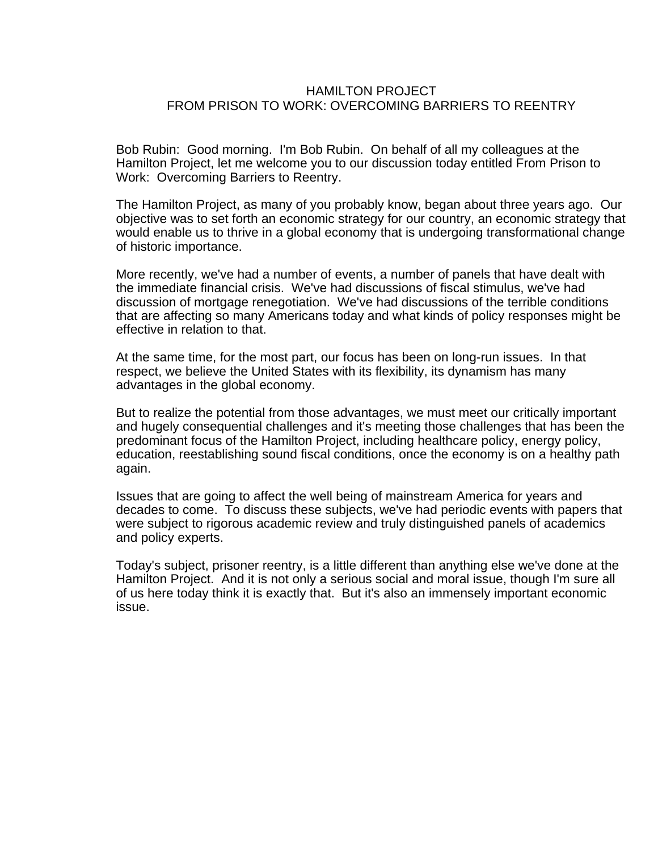## HAMILTON PROJECT FROM PRISON TO WORK: OVERCOMING BARRIERS TO REENTRY

Bob Rubin: Good morning. I'm Bob Rubin. On behalf of all my colleagues at the Hamilton Project, let me welcome you to our discussion today entitled From Prison to Work: Overcoming Barriers to Reentry.

The Hamilton Project, as many of you probably know, began about three years ago. Our objective was to set forth an economic strategy for our country, an economic strategy that would enable us to thrive in a global economy that is undergoing transformational change of historic importance.

More recently, we've had a number of events, a number of panels that have dealt with the immediate financial crisis. We've had discussions of fiscal stimulus, we've had discussion of mortgage renegotiation. We've had discussions of the terrible conditions that are affecting so many Americans today and what kinds of policy responses might be effective in relation to that.

At the same time, for the most part, our focus has been on long-run issues. In that respect, we believe the United States with its flexibility, its dynamism has many advantages in the global economy.

But to realize the potential from those advantages, we must meet our critically important and hugely consequential challenges and it's meeting those challenges that has been the predominant focus of the Hamilton Project, including healthcare policy, energy policy, education, reestablishing sound fiscal conditions, once the economy is on a healthy path again.

Issues that are going to affect the well being of mainstream America for years and decades to come. To discuss these subjects, we've had periodic events with papers that were subject to rigorous academic review and truly distinguished panels of academics and policy experts.

Today's subject, prisoner reentry, is a little different than anything else we've done at the Hamilton Project. And it is not only a serious social and moral issue, though I'm sure all of us here today think it is exactly that. But it's also an immensely important economic issue.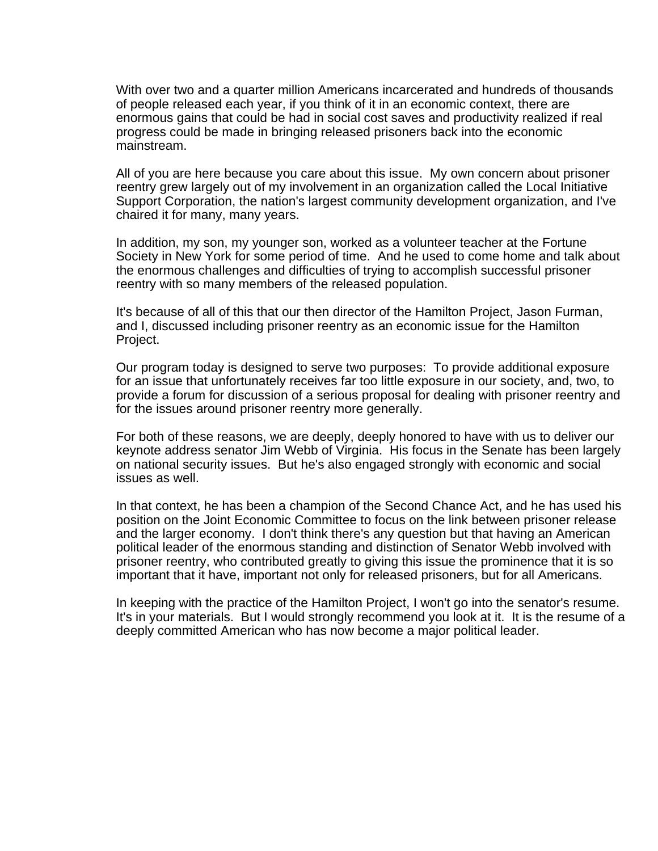With over two and a quarter million Americans incarcerated and hundreds of thousands of people released each year, if you think of it in an economic context, there are enormous gains that could be had in social cost saves and productivity realized if real progress could be made in bringing released prisoners back into the economic mainstream.

All of you are here because you care about this issue. My own concern about prisoner reentry grew largely out of my involvement in an organization called the Local Initiative Support Corporation, the nation's largest community development organization, and I've chaired it for many, many years.

In addition, my son, my younger son, worked as a volunteer teacher at the Fortune Society in New York for some period of time. And he used to come home and talk about the enormous challenges and difficulties of trying to accomplish successful prisoner reentry with so many members of the released population.

It's because of all of this that our then director of the Hamilton Project, Jason Furman, and I, discussed including prisoner reentry as an economic issue for the Hamilton Project.

Our program today is designed to serve two purposes: To provide additional exposure for an issue that unfortunately receives far too little exposure in our society, and, two, to provide a forum for discussion of a serious proposal for dealing with prisoner reentry and for the issues around prisoner reentry more generally.

For both of these reasons, we are deeply, deeply honored to have with us to deliver our keynote address senator Jim Webb of Virginia. His focus in the Senate has been largely on national security issues. But he's also engaged strongly with economic and social issues as well.

In that context, he has been a champion of the Second Chance Act, and he has used his position on the Joint Economic Committee to focus on the link between prisoner release and the larger economy. I don't think there's any question but that having an American political leader of the enormous standing and distinction of Senator Webb involved with prisoner reentry, who contributed greatly to giving this issue the prominence that it is so important that it have, important not only for released prisoners, but for all Americans.

In keeping with the practice of the Hamilton Project, I won't go into the senator's resume. It's in your materials. But I would strongly recommend you look at it. It is the resume of a deeply committed American who has now become a major political leader.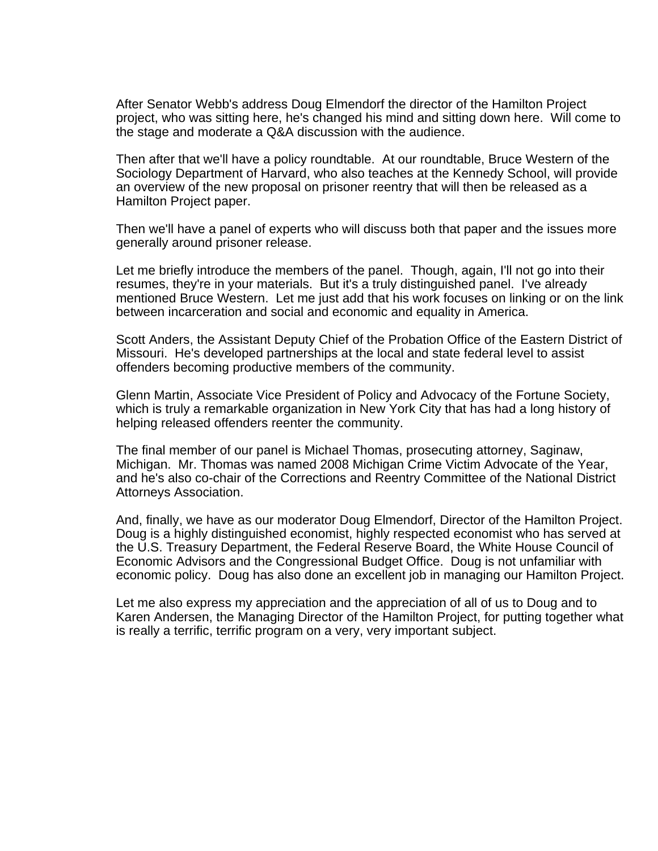After Senator Webb's address Doug Elmendorf the director of the Hamilton Project project, who was sitting here, he's changed his mind and sitting down here. Will come to the stage and moderate a Q&A discussion with the audience.

Then after that we'll have a policy roundtable. At our roundtable, Bruce Western of the Sociology Department of Harvard, who also teaches at the Kennedy School, will provide an overview of the new proposal on prisoner reentry that will then be released as a Hamilton Project paper.

Then we'll have a panel of experts who will discuss both that paper and the issues more generally around prisoner release.

Let me briefly introduce the members of the panel. Though, again, I'll not go into their resumes, they're in your materials. But it's a truly distinguished panel. I've already mentioned Bruce Western. Let me just add that his work focuses on linking or on the link between incarceration and social and economic and equality in America.

Scott Anders, the Assistant Deputy Chief of the Probation Office of the Eastern District of Missouri. He's developed partnerships at the local and state federal level to assist offenders becoming productive members of the community.

Glenn Martin, Associate Vice President of Policy and Advocacy of the Fortune Society, which is truly a remarkable organization in New York City that has had a long history of helping released offenders reenter the community.

The final member of our panel is Michael Thomas, prosecuting attorney, Saginaw, Michigan. Mr. Thomas was named 2008 Michigan Crime Victim Advocate of the Year, and he's also co-chair of the Corrections and Reentry Committee of the National District Attorneys Association.

And, finally, we have as our moderator Doug Elmendorf, Director of the Hamilton Project. Doug is a highly distinguished economist, highly respected economist who has served at the U.S. Treasury Department, the Federal Reserve Board, the White House Council of Economic Advisors and the Congressional Budget Office. Doug is not unfamiliar with economic policy. Doug has also done an excellent job in managing our Hamilton Project.

Let me also express my appreciation and the appreciation of all of us to Doug and to Karen Andersen, the Managing Director of the Hamilton Project, for putting together what is really a terrific, terrific program on a very, very important subject.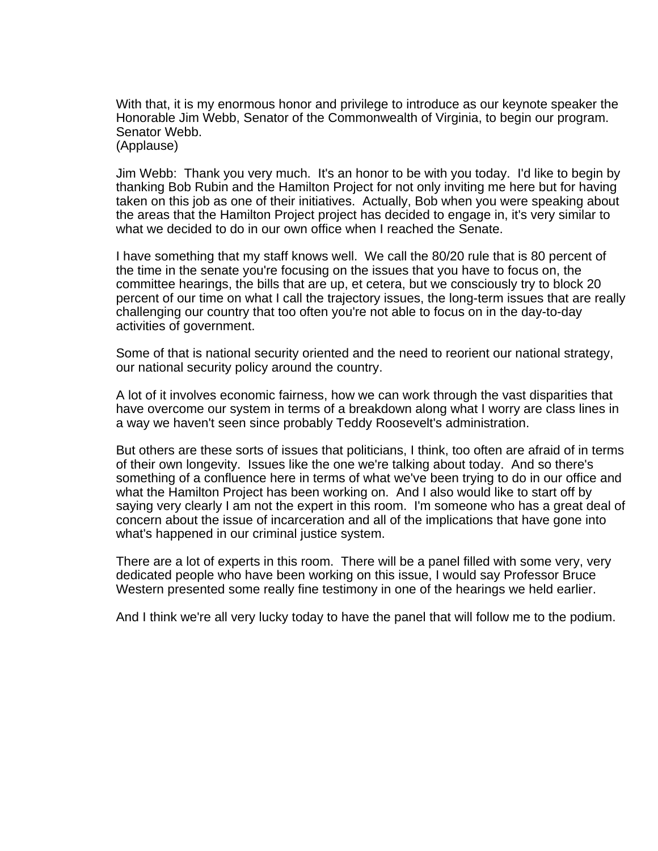With that, it is my enormous honor and privilege to introduce as our keynote speaker the Honorable Jim Webb, Senator of the Commonwealth of Virginia, to begin our program. Senator Webb. (Applause)

Jim Webb: Thank you very much. It's an honor to be with you today. I'd like to begin by thanking Bob Rubin and the Hamilton Project for not only inviting me here but for having taken on this job as one of their initiatives. Actually, Bob when you were speaking about the areas that the Hamilton Project project has decided to engage in, it's very similar to what we decided to do in our own office when I reached the Senate.

I have something that my staff knows well. We call the 80/20 rule that is 80 percent of the time in the senate you're focusing on the issues that you have to focus on, the committee hearings, the bills that are up, et cetera, but we consciously try to block 20 percent of our time on what I call the trajectory issues, the long-term issues that are really challenging our country that too often you're not able to focus on in the day-to-day activities of government.

Some of that is national security oriented and the need to reorient our national strategy, our national security policy around the country.

A lot of it involves economic fairness, how we can work through the vast disparities that have overcome our system in terms of a breakdown along what I worry are class lines in a way we haven't seen since probably Teddy Roosevelt's administration.

But others are these sorts of issues that politicians, I think, too often are afraid of in terms of their own longevity. Issues like the one we're talking about today. And so there's something of a confluence here in terms of what we've been trying to do in our office and what the Hamilton Project has been working on. And I also would like to start off by saying very clearly I am not the expert in this room. I'm someone who has a great deal of concern about the issue of incarceration and all of the implications that have gone into what's happened in our criminal justice system.

There are a lot of experts in this room. There will be a panel filled with some very, very dedicated people who have been working on this issue, I would say Professor Bruce Western presented some really fine testimony in one of the hearings we held earlier.

And I think we're all very lucky today to have the panel that will follow me to the podium.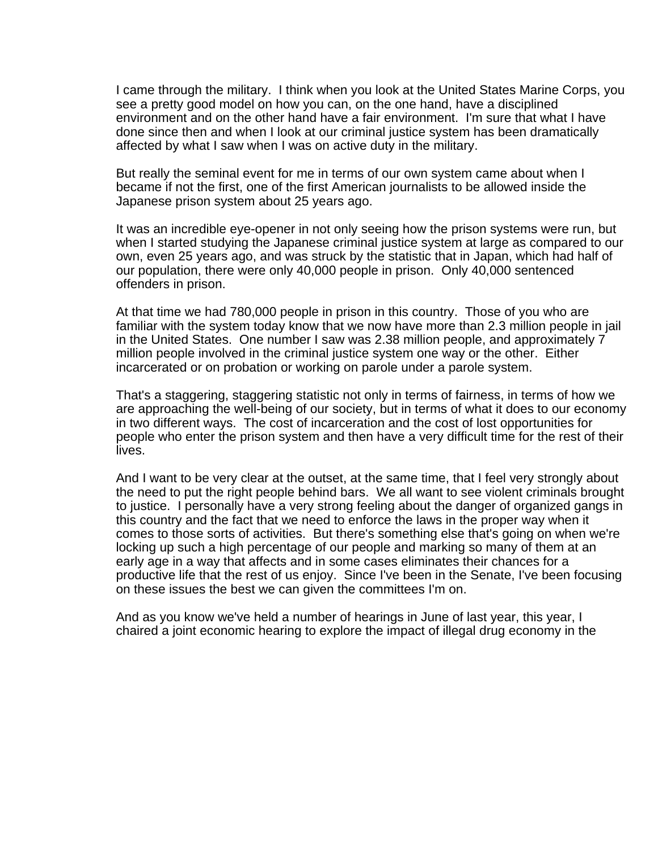I came through the military. I think when you look at the United States Marine Corps, you see a pretty good model on how you can, on the one hand, have a disciplined environment and on the other hand have a fair environment. I'm sure that what I have done since then and when I look at our criminal justice system has been dramatically affected by what I saw when I was on active duty in the military.

But really the seminal event for me in terms of our own system came about when I became if not the first, one of the first American journalists to be allowed inside the Japanese prison system about 25 years ago.

It was an incredible eye-opener in not only seeing how the prison systems were run, but when I started studying the Japanese criminal justice system at large as compared to our own, even 25 years ago, and was struck by the statistic that in Japan, which had half of our population, there were only 40,000 people in prison. Only 40,000 sentenced offenders in prison.

At that time we had 780,000 people in prison in this country. Those of you who are familiar with the system today know that we now have more than 2.3 million people in jail in the United States. One number I saw was 2.38 million people, and approximately 7 million people involved in the criminal justice system one way or the other. Either incarcerated or on probation or working on parole under a parole system.

That's a staggering, staggering statistic not only in terms of fairness, in terms of how we are approaching the well-being of our society, but in terms of what it does to our economy in two different ways. The cost of incarceration and the cost of lost opportunities for people who enter the prison system and then have a very difficult time for the rest of their lives.

And I want to be very clear at the outset, at the same time, that I feel very strongly about the need to put the right people behind bars. We all want to see violent criminals brought to justice. I personally have a very strong feeling about the danger of organized gangs in this country and the fact that we need to enforce the laws in the proper way when it comes to those sorts of activities. But there's something else that's going on when we're locking up such a high percentage of our people and marking so many of them at an early age in a way that affects and in some cases eliminates their chances for a productive life that the rest of us enjoy. Since I've been in the Senate, I've been focusing on these issues the best we can given the committees I'm on.

And as you know we've held a number of hearings in June of last year, this year, I chaired a joint economic hearing to explore the impact of illegal drug economy in the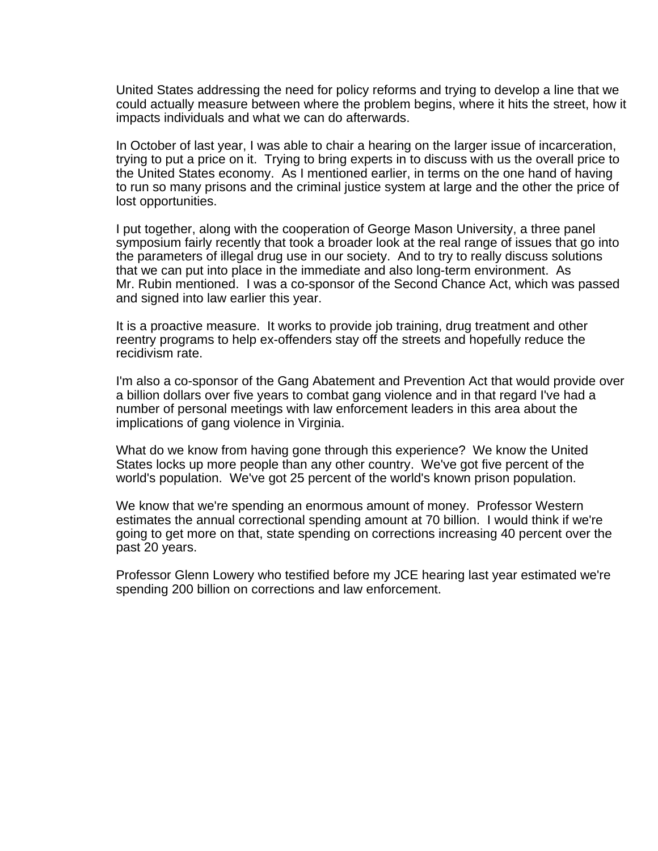United States addressing the need for policy reforms and trying to develop a line that we could actually measure between where the problem begins, where it hits the street, how it impacts individuals and what we can do afterwards.

In October of last year, I was able to chair a hearing on the larger issue of incarceration, trying to put a price on it. Trying to bring experts in to discuss with us the overall price to the United States economy. As I mentioned earlier, in terms on the one hand of having to run so many prisons and the criminal justice system at large and the other the price of lost opportunities.

I put together, along with the cooperation of George Mason University, a three panel symposium fairly recently that took a broader look at the real range of issues that go into the parameters of illegal drug use in our society. And to try to really discuss solutions that we can put into place in the immediate and also long-term environment. As Mr. Rubin mentioned. I was a co-sponsor of the Second Chance Act, which was passed and signed into law earlier this year.

It is a proactive measure. It works to provide job training, drug treatment and other reentry programs to help ex-offenders stay off the streets and hopefully reduce the recidivism rate.

I'm also a co-sponsor of the Gang Abatement and Prevention Act that would provide over a billion dollars over five years to combat gang violence and in that regard I've had a number of personal meetings with law enforcement leaders in this area about the implications of gang violence in Virginia.

What do we know from having gone through this experience? We know the United States locks up more people than any other country. We've got five percent of the world's population. We've got 25 percent of the world's known prison population.

We know that we're spending an enormous amount of money. Professor Western estimates the annual correctional spending amount at 70 billion. I would think if we're going to get more on that, state spending on corrections increasing 40 percent over the past 20 years.

Professor Glenn Lowery who testified before my JCE hearing last year estimated we're spending 200 billion on corrections and law enforcement.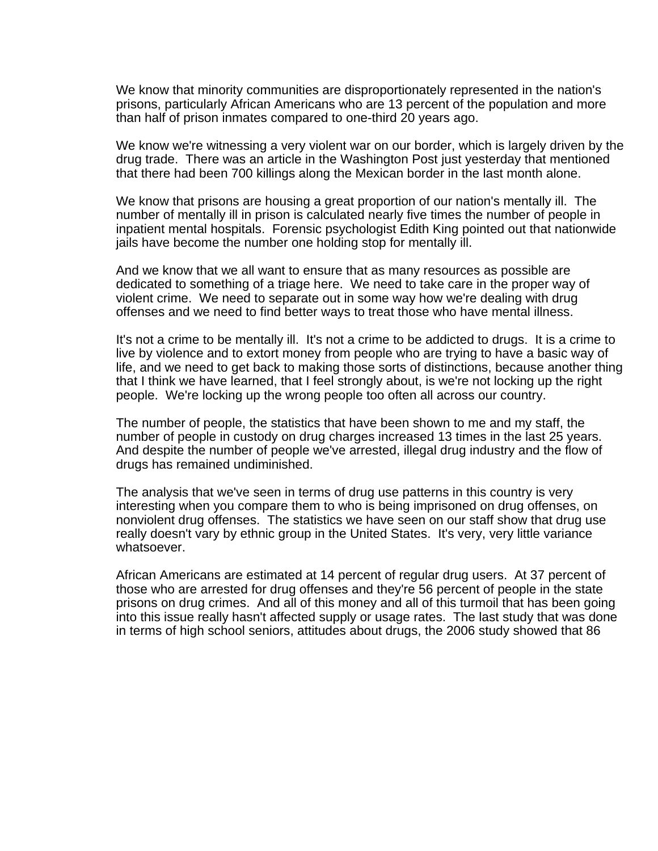We know that minority communities are disproportionately represented in the nation's prisons, particularly African Americans who are 13 percent of the population and more than half of prison inmates compared to one-third 20 years ago.

We know we're witnessing a very violent war on our border, which is largely driven by the drug trade. There was an article in the Washington Post just yesterday that mentioned that there had been 700 killings along the Mexican border in the last month alone.

We know that prisons are housing a great proportion of our nation's mentally ill. The number of mentally ill in prison is calculated nearly five times the number of people in inpatient mental hospitals. Forensic psychologist Edith King pointed out that nationwide jails have become the number one holding stop for mentally ill.

And we know that we all want to ensure that as many resources as possible are dedicated to something of a triage here. We need to take care in the proper way of violent crime. We need to separate out in some way how we're dealing with drug offenses and we need to find better ways to treat those who have mental illness.

It's not a crime to be mentally ill. It's not a crime to be addicted to drugs. It is a crime to live by violence and to extort money from people who are trying to have a basic way of life, and we need to get back to making those sorts of distinctions, because another thing that I think we have learned, that I feel strongly about, is we're not locking up the right people. We're locking up the wrong people too often all across our country.

The number of people, the statistics that have been shown to me and my staff, the number of people in custody on drug charges increased 13 times in the last 25 years. And despite the number of people we've arrested, illegal drug industry and the flow of drugs has remained undiminished.

The analysis that we've seen in terms of drug use patterns in this country is very interesting when you compare them to who is being imprisoned on drug offenses, on nonviolent drug offenses. The statistics we have seen on our staff show that drug use really doesn't vary by ethnic group in the United States. It's very, very little variance whatsoever.

African Americans are estimated at 14 percent of regular drug users. At 37 percent of those who are arrested for drug offenses and they're 56 percent of people in the state prisons on drug crimes. And all of this money and all of this turmoil that has been going into this issue really hasn't affected supply or usage rates. The last study that was done in terms of high school seniors, attitudes about drugs, the 2006 study showed that 86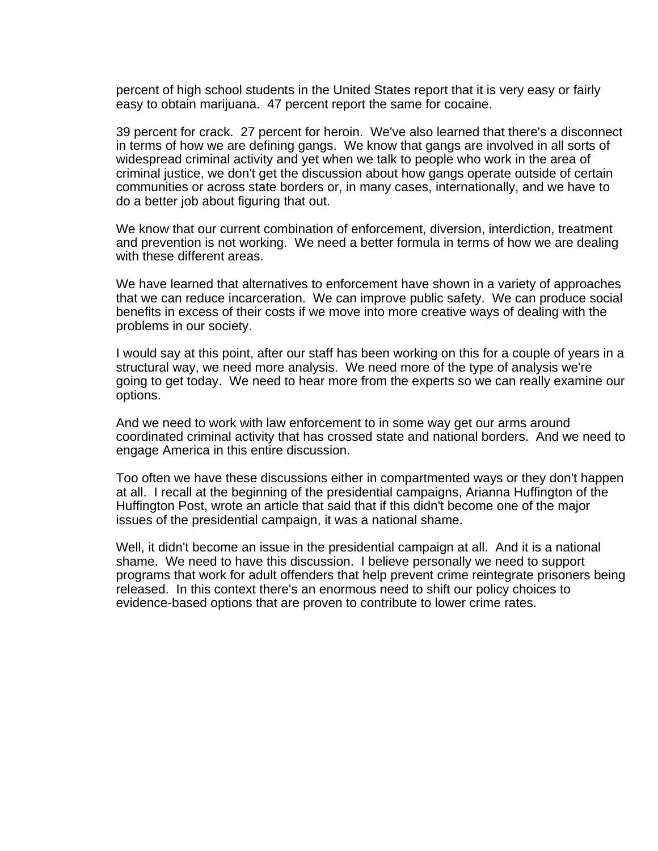percent of high school students in the United States report that it is very easy or fairly easy to obtain marijuana. 47 percent report the same for cocaine.

39 percent for crack. 27 percent for heroin. We've also learned that there's a disconnect in terms of how we are defining gangs. We know that gangs are involved in all sorts of widespread criminal activity and yet when we talk to people who work in the area of criminal justice, we don't get the discussion about how gangs operate outside of certain communities or across state borders or, in many cases, internationally, and we have to do a better job about figuring that out.

We know that our current combination of enforcement, diversion, interdiction, treatment and prevention is not working. We need a better formula in terms of how we are dealing with these different areas.

We have learned that alternatives to enforcement have shown in a variety of approaches that we can reduce incarceration. We can improve public safety. We can produce social benefits in excess of their costs if we move into more creative ways of dealing with the problems in our society.

I would say at this point, after our staff has been working on this for a couple of years in a structural way, we need more analysis. We need more of the type of analysis we're going to get today. We need to hear more from the experts so we can really examine our options.

And we need to work with law enforcement to in some way get our arms around coordinated criminal activity that has crossed state and national borders. And we need to engage America in this entire discussion.

Too often we have these discussions either in compartmented ways or they don't happen at all. I recall at the beginning of the presidential campaigns, Arianna Huffington of the Huffington Post, wrote an article that said that if this didn't become one of the major issues of the presidential campaign, it was a national shame.

Well, it didn't become an issue in the presidential campaign at all. And it is a national shame. We need to have this discussion. I believe personally we need to support programs that work for adult offenders that help prevent crime reintegrate prisoners being released. In this context there's an enormous need to shift our policy choices to evidence-based options that are proven to contribute to lower crime rates.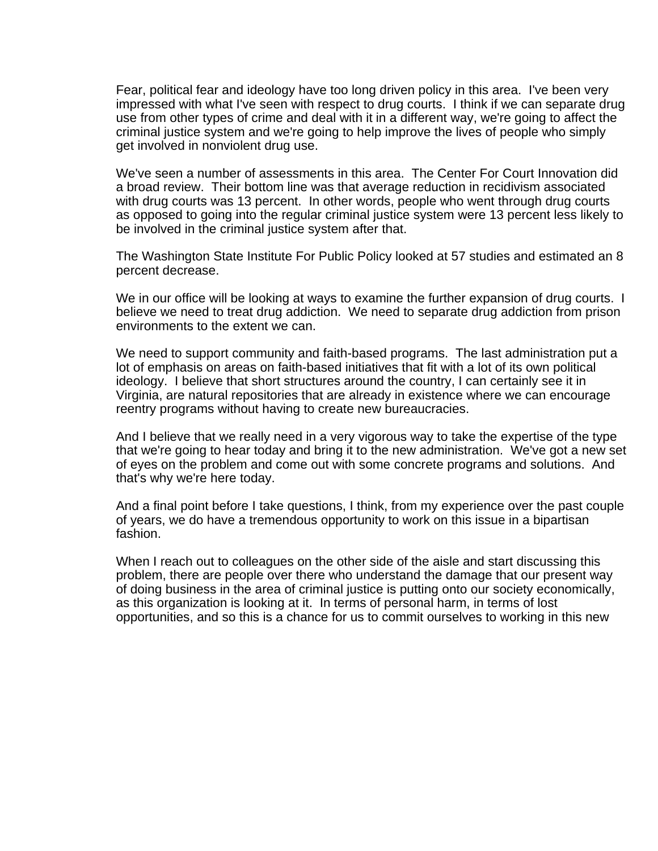Fear, political fear and ideology have too long driven policy in this area. I've been very impressed with what I've seen with respect to drug courts. I think if we can separate drug use from other types of crime and deal with it in a different way, we're going to affect the criminal justice system and we're going to help improve the lives of people who simply get involved in nonviolent drug use.

We've seen a number of assessments in this area. The Center For Court Innovation did a broad review. Their bottom line was that average reduction in recidivism associated with drug courts was 13 percent. In other words, people who went through drug courts as opposed to going into the regular criminal justice system were 13 percent less likely to be involved in the criminal justice system after that.

The Washington State Institute For Public Policy looked at 57 studies and estimated an 8 percent decrease.

We in our office will be looking at ways to examine the further expansion of drug courts. I believe we need to treat drug addiction. We need to separate drug addiction from prison environments to the extent we can.

We need to support community and faith-based programs. The last administration put a lot of emphasis on areas on faith-based initiatives that fit with a lot of its own political ideology. I believe that short structures around the country, I can certainly see it in Virginia, are natural repositories that are already in existence where we can encourage reentry programs without having to create new bureaucracies.

And I believe that we really need in a very vigorous way to take the expertise of the type that we're going to hear today and bring it to the new administration. We've got a new set of eyes on the problem and come out with some concrete programs and solutions. And that's why we're here today.

And a final point before I take questions, I think, from my experience over the past couple of years, we do have a tremendous opportunity to work on this issue in a bipartisan fashion.

When I reach out to colleagues on the other side of the aisle and start discussing this problem, there are people over there who understand the damage that our present way of doing business in the area of criminal justice is putting onto our society economically, as this organization is looking at it. In terms of personal harm, in terms of lost opportunities, and so this is a chance for us to commit ourselves to working in this new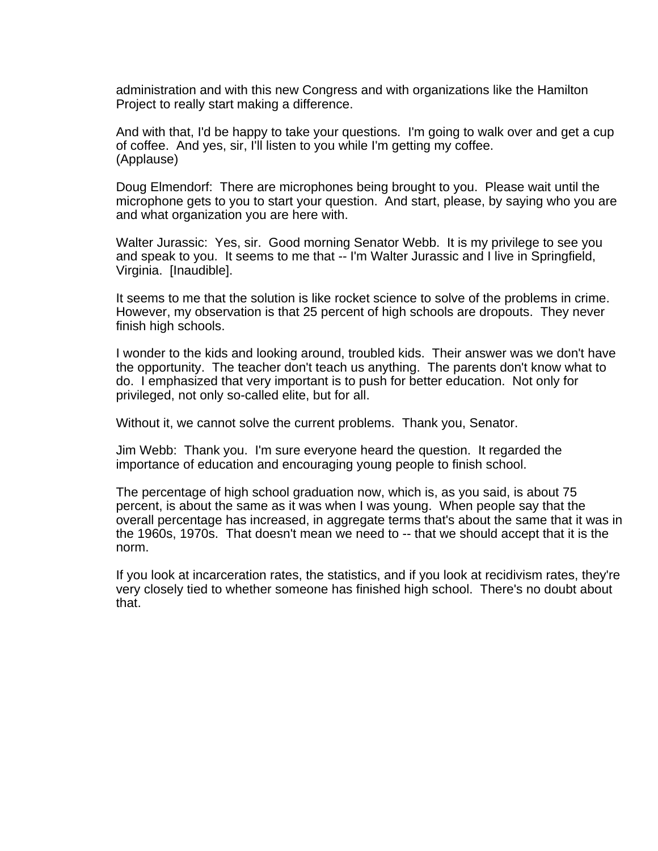administration and with this new Congress and with organizations like the Hamilton Project to really start making a difference.

And with that, I'd be happy to take your questions. I'm going to walk over and get a cup of coffee. And yes, sir, I'll listen to you while I'm getting my coffee. (Applause)

Doug Elmendorf: There are microphones being brought to you. Please wait until the microphone gets to you to start your question. And start, please, by saying who you are and what organization you are here with.

Walter Jurassic: Yes, sir. Good morning Senator Webb. It is my privilege to see you and speak to you. It seems to me that -- I'm Walter Jurassic and I live in Springfield, Virginia. [Inaudible].

It seems to me that the solution is like rocket science to solve of the problems in crime. However, my observation is that 25 percent of high schools are dropouts. They never finish high schools.

I wonder to the kids and looking around, troubled kids. Their answer was we don't have the opportunity. The teacher don't teach us anything. The parents don't know what to do. I emphasized that very important is to push for better education. Not only for privileged, not only so-called elite, but for all.

Without it, we cannot solve the current problems. Thank you, Senator.

Jim Webb: Thank you. I'm sure everyone heard the question. It regarded the importance of education and encouraging young people to finish school.

The percentage of high school graduation now, which is, as you said, is about 75 percent, is about the same as it was when I was young. When people say that the overall percentage has increased, in aggregate terms that's about the same that it was in the 1960s, 1970s. That doesn't mean we need to -- that we should accept that it is the norm.

If you look at incarceration rates, the statistics, and if you look at recidivism rates, they're very closely tied to whether someone has finished high school. There's no doubt about that.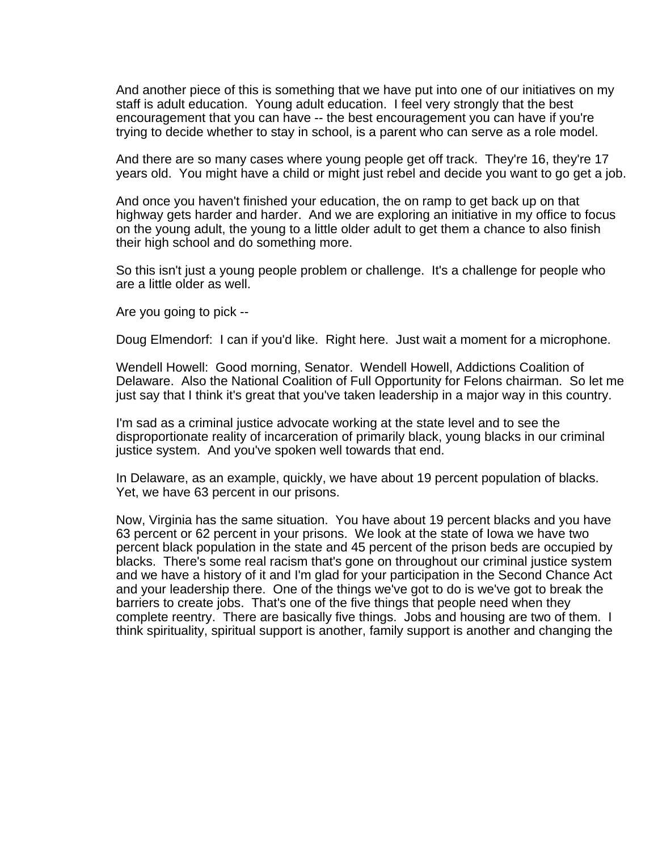And another piece of this is something that we have put into one of our initiatives on my staff is adult education. Young adult education. I feel very strongly that the best encouragement that you can have -- the best encouragement you can have if you're trying to decide whether to stay in school, is a parent who can serve as a role model.

And there are so many cases where young people get off track. They're 16, they're 17 years old. You might have a child or might just rebel and decide you want to go get a job.

And once you haven't finished your education, the on ramp to get back up on that highway gets harder and harder. And we are exploring an initiative in my office to focus on the young adult, the young to a little older adult to get them a chance to also finish their high school and do something more.

So this isn't just a young people problem or challenge. It's a challenge for people who are a little older as well.

Are you going to pick --

Doug Elmendorf: I can if you'd like. Right here. Just wait a moment for a microphone.

Wendell Howell: Good morning, Senator. Wendell Howell, Addictions Coalition of Delaware. Also the National Coalition of Full Opportunity for Felons chairman. So let me just say that I think it's great that you've taken leadership in a major way in this country.

I'm sad as a criminal justice advocate working at the state level and to see the disproportionate reality of incarceration of primarily black, young blacks in our criminal justice system. And you've spoken well towards that end.

In Delaware, as an example, quickly, we have about 19 percent population of blacks. Yet, we have 63 percent in our prisons.

Now, Virginia has the same situation. You have about 19 percent blacks and you have 63 percent or 62 percent in your prisons. We look at the state of Iowa we have two percent black population in the state and 45 percent of the prison beds are occupied by blacks. There's some real racism that's gone on throughout our criminal justice system and we have a history of it and I'm glad for your participation in the Second Chance Act and your leadership there. One of the things we've got to do is we've got to break the barriers to create jobs. That's one of the five things that people need when they complete reentry. There are basically five things. Jobs and housing are two of them. I think spirituality, spiritual support is another, family support is another and changing the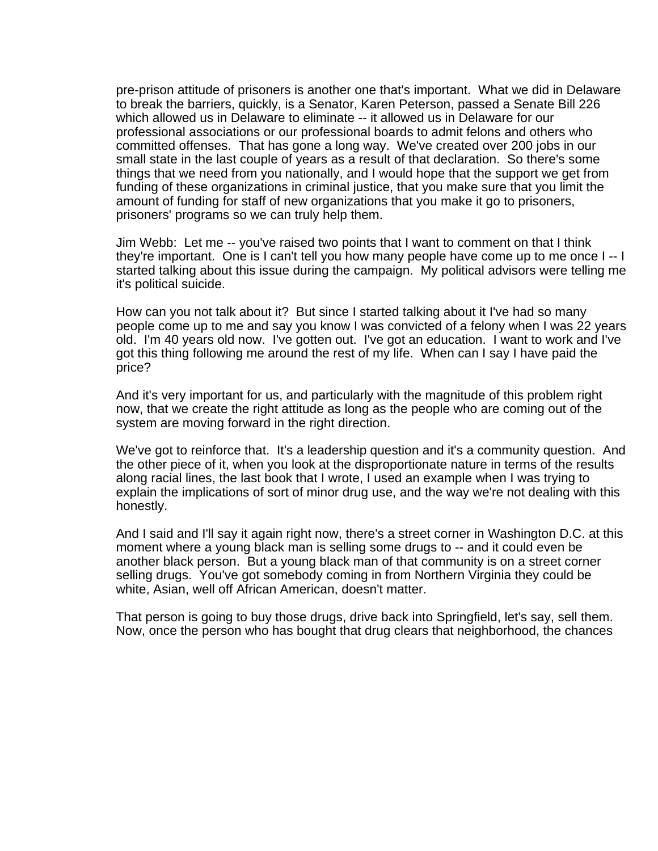pre-prison attitude of prisoners is another one that's important. What we did in Delaware to break the barriers, quickly, is a Senator, Karen Peterson, passed a Senate Bill 226 which allowed us in Delaware to eliminate -- it allowed us in Delaware for our professional associations or our professional boards to admit felons and others who committed offenses. That has gone a long way. We've created over 200 jobs in our small state in the last couple of years as a result of that declaration. So there's some things that we need from you nationally, and I would hope that the support we get from funding of these organizations in criminal justice, that you make sure that you limit the amount of funding for staff of new organizations that you make it go to prisoners, prisoners' programs so we can truly help them.

Jim Webb: Let me -- you've raised two points that I want to comment on that I think they're important. One is I can't tell you how many people have come up to me once I -- I started talking about this issue during the campaign. My political advisors were telling me it's political suicide.

How can you not talk about it? But since I started talking about it I've had so many people come up to me and say you know I was convicted of a felony when I was 22 years old. I'm 40 years old now. I've gotten out. I've got an education. I want to work and I've got this thing following me around the rest of my life. When can I say I have paid the price?

And it's very important for us, and particularly with the magnitude of this problem right now, that we create the right attitude as long as the people who are coming out of the system are moving forward in the right direction.

We've got to reinforce that. It's a leadership question and it's a community question. And the other piece of it, when you look at the disproportionate nature in terms of the results along racial lines, the last book that I wrote, I used an example when I was trying to explain the implications of sort of minor drug use, and the way we're not dealing with this honestly.

And I said and I'll say it again right now, there's a street corner in Washington D.C. at this moment where a young black man is selling some drugs to -- and it could even be another black person. But a young black man of that community is on a street corner selling drugs. You've got somebody coming in from Northern Virginia they could be white, Asian, well off African American, doesn't matter.

That person is going to buy those drugs, drive back into Springfield, let's say, sell them. Now, once the person who has bought that drug clears that neighborhood, the chances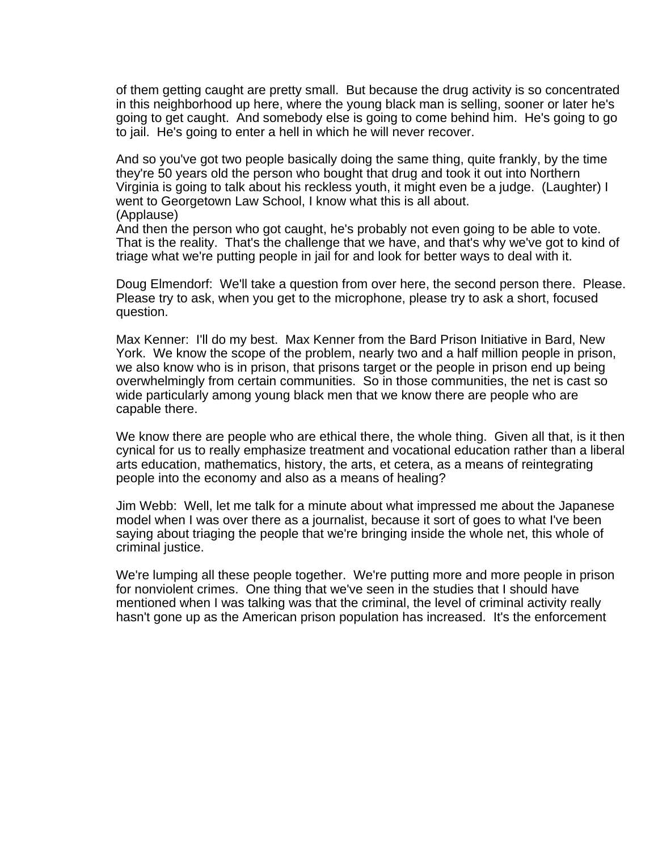of them getting caught are pretty small. But because the drug activity is so concentrated in this neighborhood up here, where the young black man is selling, sooner or later he's going to get caught. And somebody else is going to come behind him. He's going to go to jail. He's going to enter a hell in which he will never recover.

And so you've got two people basically doing the same thing, quite frankly, by the time they're 50 years old the person who bought that drug and took it out into Northern Virginia is going to talk about his reckless youth, it might even be a judge. (Laughter) I went to Georgetown Law School, I know what this is all about. (Applause)

And then the person who got caught, he's probably not even going to be able to vote. That is the reality. That's the challenge that we have, and that's why we've got to kind of triage what we're putting people in jail for and look for better ways to deal with it.

Doug Elmendorf: We'll take a question from over here, the second person there. Please. Please try to ask, when you get to the microphone, please try to ask a short, focused question.

Max Kenner: I'll do my best. Max Kenner from the Bard Prison Initiative in Bard, New York. We know the scope of the problem, nearly two and a half million people in prison, we also know who is in prison, that prisons target or the people in prison end up being overwhelmingly from certain communities. So in those communities, the net is cast so wide particularly among young black men that we know there are people who are capable there.

We know there are people who are ethical there, the whole thing. Given all that, is it then cynical for us to really emphasize treatment and vocational education rather than a liberal arts education, mathematics, history, the arts, et cetera, as a means of reintegrating people into the economy and also as a means of healing?

Jim Webb: Well, let me talk for a minute about what impressed me about the Japanese model when I was over there as a journalist, because it sort of goes to what I've been saying about triaging the people that we're bringing inside the whole net, this whole of criminal justice.

We're lumping all these people together. We're putting more and more people in prison for nonviolent crimes. One thing that we've seen in the studies that I should have mentioned when I was talking was that the criminal, the level of criminal activity really hasn't gone up as the American prison population has increased. It's the enforcement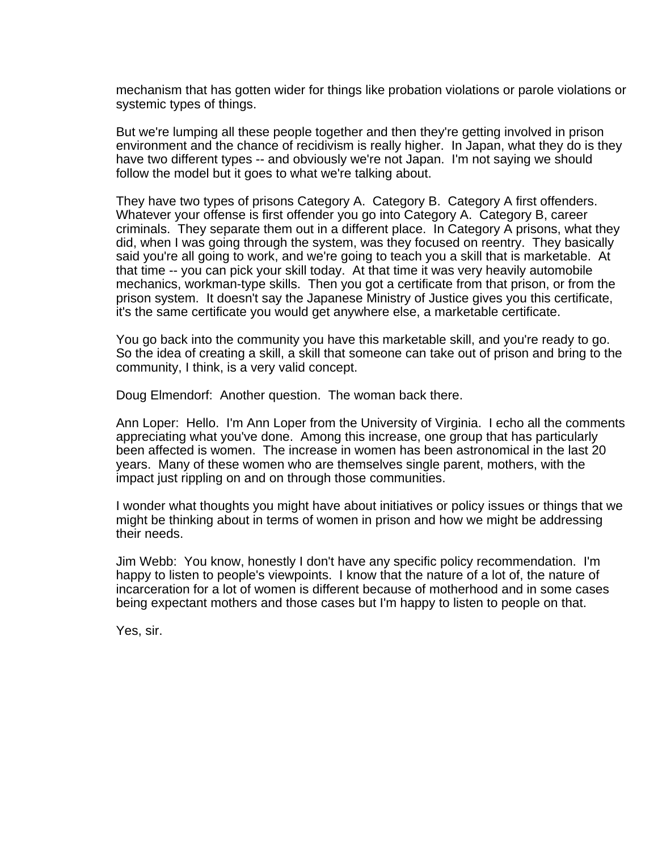mechanism that has gotten wider for things like probation violations or parole violations or systemic types of things.

But we're lumping all these people together and then they're getting involved in prison environment and the chance of recidivism is really higher. In Japan, what they do is they have two different types -- and obviously we're not Japan. I'm not saying we should follow the model but it goes to what we're talking about.

They have two types of prisons Category A. Category B. Category A first offenders. Whatever your offense is first offender you go into Category A. Category B, career criminals. They separate them out in a different place. In Category A prisons, what they did, when I was going through the system, was they focused on reentry. They basically said you're all going to work, and we're going to teach you a skill that is marketable. At that time -- you can pick your skill today. At that time it was very heavily automobile mechanics, workman-type skills. Then you got a certificate from that prison, or from the prison system. It doesn't say the Japanese Ministry of Justice gives you this certificate, it's the same certificate you would get anywhere else, a marketable certificate.

You go back into the community you have this marketable skill, and you're ready to go. So the idea of creating a skill, a skill that someone can take out of prison and bring to the community, I think, is a very valid concept.

Doug Elmendorf: Another question. The woman back there.

Ann Loper: Hello. I'm Ann Loper from the University of Virginia. I echo all the comments appreciating what you've done. Among this increase, one group that has particularly been affected is women. The increase in women has been astronomical in the last 20 years. Many of these women who are themselves single parent, mothers, with the impact just rippling on and on through those communities.

I wonder what thoughts you might have about initiatives or policy issues or things that we might be thinking about in terms of women in prison and how we might be addressing their needs.

Jim Webb: You know, honestly I don't have any specific policy recommendation. I'm happy to listen to people's viewpoints. I know that the nature of a lot of, the nature of incarceration for a lot of women is different because of motherhood and in some cases being expectant mothers and those cases but I'm happy to listen to people on that.

Yes, sir.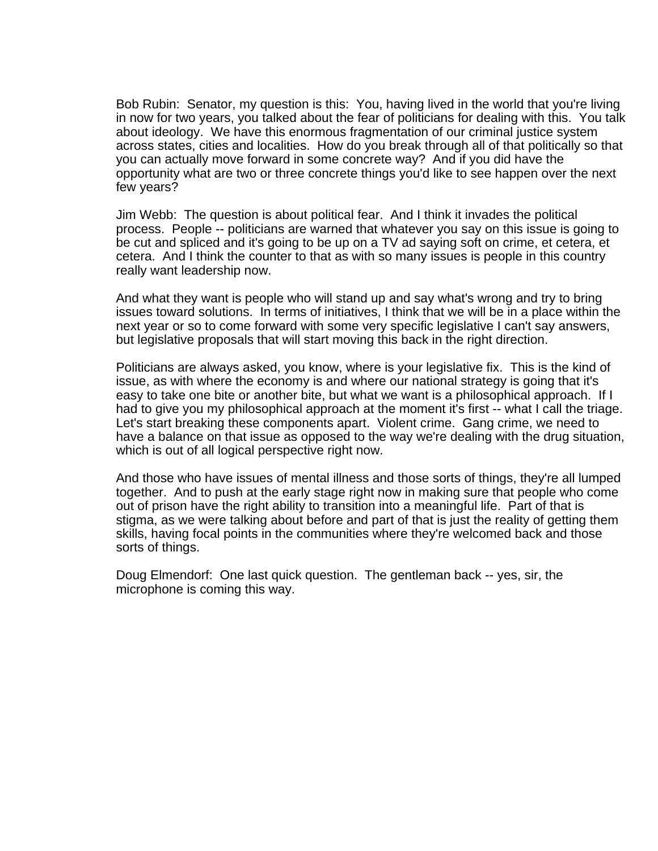Bob Rubin: Senator, my question is this: You, having lived in the world that you're living in now for two years, you talked about the fear of politicians for dealing with this. You talk about ideology. We have this enormous fragmentation of our criminal justice system across states, cities and localities. How do you break through all of that politically so that you can actually move forward in some concrete way? And if you did have the opportunity what are two or three concrete things you'd like to see happen over the next few years?

Jim Webb: The question is about political fear. And I think it invades the political process. People -- politicians are warned that whatever you say on this issue is going to be cut and spliced and it's going to be up on a TV ad saying soft on crime, et cetera, et cetera. And I think the counter to that as with so many issues is people in this country really want leadership now.

And what they want is people who will stand up and say what's wrong and try to bring issues toward solutions. In terms of initiatives, I think that we will be in a place within the next year or so to come forward with some very specific legislative I can't say answers, but legislative proposals that will start moving this back in the right direction.

Politicians are always asked, you know, where is your legislative fix. This is the kind of issue, as with where the economy is and where our national strategy is going that it's easy to take one bite or another bite, but what we want is a philosophical approach. If I had to give you my philosophical approach at the moment it's first -- what I call the triage. Let's start breaking these components apart. Violent crime. Gang crime, we need to have a balance on that issue as opposed to the way we're dealing with the drug situation, which is out of all logical perspective right now.

And those who have issues of mental illness and those sorts of things, they're all lumped together. And to push at the early stage right now in making sure that people who come out of prison have the right ability to transition into a meaningful life. Part of that is stigma, as we were talking about before and part of that is just the reality of getting them skills, having focal points in the communities where they're welcomed back and those sorts of things.

Doug Elmendorf: One last quick question. The gentleman back -- yes, sir, the microphone is coming this way.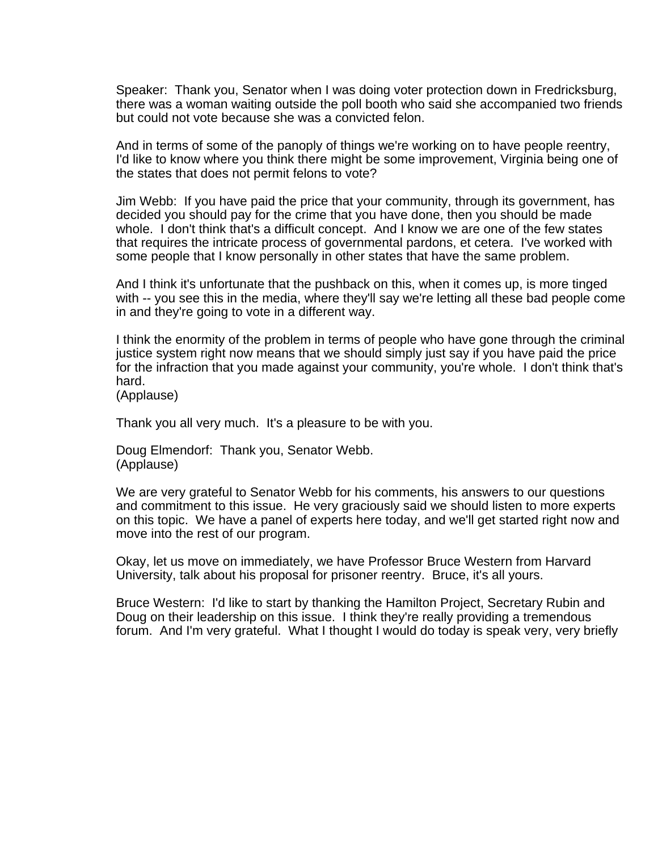Speaker: Thank you, Senator when I was doing voter protection down in Fredricksburg, there was a woman waiting outside the poll booth who said she accompanied two friends but could not vote because she was a convicted felon.

And in terms of some of the panoply of things we're working on to have people reentry, I'd like to know where you think there might be some improvement, Virginia being one of the states that does not permit felons to vote?

Jim Webb: If you have paid the price that your community, through its government, has decided you should pay for the crime that you have done, then you should be made whole. I don't think that's a difficult concept. And I know we are one of the few states that requires the intricate process of governmental pardons, et cetera. I've worked with some people that I know personally in other states that have the same problem.

And I think it's unfortunate that the pushback on this, when it comes up, is more tinged with -- you see this in the media, where they'll say we're letting all these bad people come in and they're going to vote in a different way.

I think the enormity of the problem in terms of people who have gone through the criminal justice system right now means that we should simply just say if you have paid the price for the infraction that you made against your community, you're whole. I don't think that's hard.

(Applause)

Thank you all very much. It's a pleasure to be with you.

Doug Elmendorf: Thank you, Senator Webb. (Applause)

We are very grateful to Senator Webb for his comments, his answers to our questions and commitment to this issue. He very graciously said we should listen to more experts on this topic. We have a panel of experts here today, and we'll get started right now and move into the rest of our program.

Okay, let us move on immediately, we have Professor Bruce Western from Harvard University, talk about his proposal for prisoner reentry. Bruce, it's all yours.

Bruce Western: I'd like to start by thanking the Hamilton Project, Secretary Rubin and Doug on their leadership on this issue. I think they're really providing a tremendous forum. And I'm very grateful. What I thought I would do today is speak very, very briefly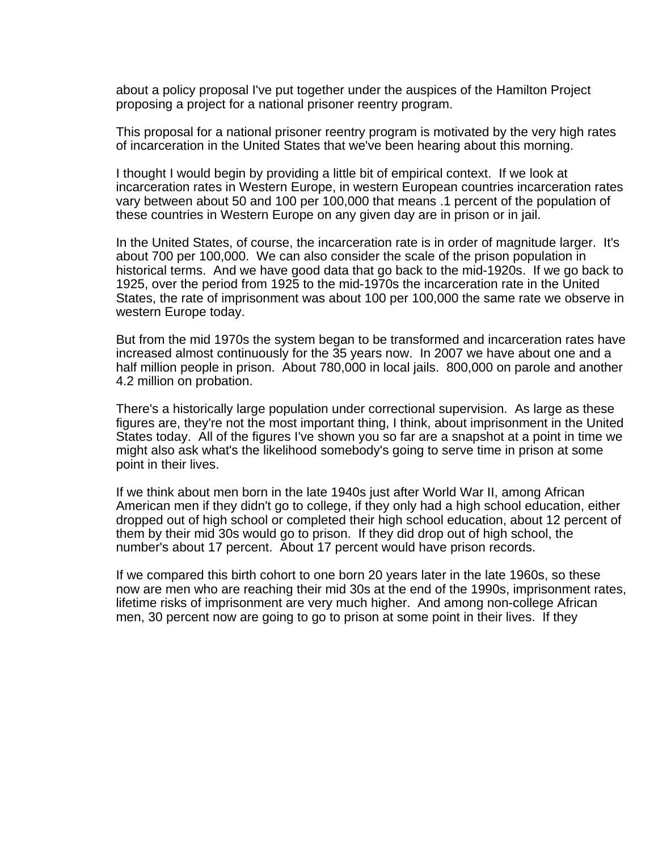about a policy proposal I've put together under the auspices of the Hamilton Project proposing a project for a national prisoner reentry program.

This proposal for a national prisoner reentry program is motivated by the very high rates of incarceration in the United States that we've been hearing about this morning.

I thought I would begin by providing a little bit of empirical context. If we look at incarceration rates in Western Europe, in western European countries incarceration rates vary between about 50 and 100 per 100,000 that means .1 percent of the population of these countries in Western Europe on any given day are in prison or in jail.

In the United States, of course, the incarceration rate is in order of magnitude larger. It's about 700 per 100,000. We can also consider the scale of the prison population in historical terms. And we have good data that go back to the mid-1920s. If we go back to 1925, over the period from 1925 to the mid-1970s the incarceration rate in the United States, the rate of imprisonment was about 100 per 100,000 the same rate we observe in western Europe today.

But from the mid 1970s the system began to be transformed and incarceration rates have increased almost continuously for the 35 years now. In 2007 we have about one and a half million people in prison. About 780,000 in local jails. 800,000 on parole and another 4.2 million on probation.

There's a historically large population under correctional supervision. As large as these figures are, they're not the most important thing, I think, about imprisonment in the United States today. All of the figures I've shown you so far are a snapshot at a point in time we might also ask what's the likelihood somebody's going to serve time in prison at some point in their lives.

If we think about men born in the late 1940s just after World War II, among African American men if they didn't go to college, if they only had a high school education, either dropped out of high school or completed their high school education, about 12 percent of them by their mid 30s would go to prison. If they did drop out of high school, the number's about 17 percent. About 17 percent would have prison records.

If we compared this birth cohort to one born 20 years later in the late 1960s, so these now are men who are reaching their mid 30s at the end of the 1990s, imprisonment rates, lifetime risks of imprisonment are very much higher. And among non-college African men, 30 percent now are going to go to prison at some point in their lives. If they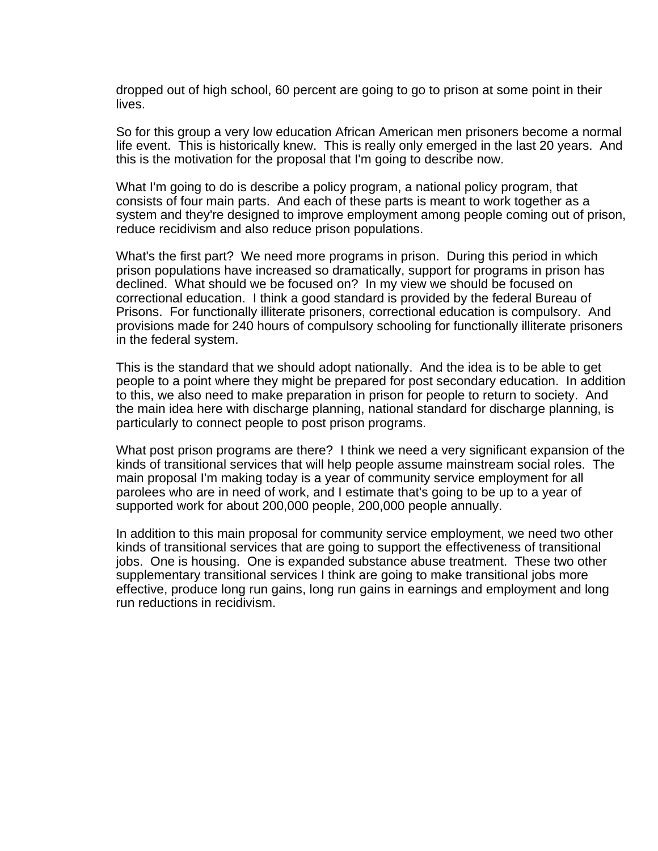dropped out of high school, 60 percent are going to go to prison at some point in their lives.

So for this group a very low education African American men prisoners become a normal life event. This is historically knew. This is really only emerged in the last 20 years. And this is the motivation for the proposal that I'm going to describe now.

What I'm going to do is describe a policy program, a national policy program, that consists of four main parts. And each of these parts is meant to work together as a system and they're designed to improve employment among people coming out of prison, reduce recidivism and also reduce prison populations.

What's the first part? We need more programs in prison. During this period in which prison populations have increased so dramatically, support for programs in prison has declined. What should we be focused on? In my view we should be focused on correctional education. I think a good standard is provided by the federal Bureau of Prisons. For functionally illiterate prisoners, correctional education is compulsory. And provisions made for 240 hours of compulsory schooling for functionally illiterate prisoners in the federal system.

This is the standard that we should adopt nationally. And the idea is to be able to get people to a point where they might be prepared for post secondary education. In addition to this, we also need to make preparation in prison for people to return to society. And the main idea here with discharge planning, national standard for discharge planning, is particularly to connect people to post prison programs.

What post prison programs are there? I think we need a very significant expansion of the kinds of transitional services that will help people assume mainstream social roles. The main proposal I'm making today is a year of community service employment for all parolees who are in need of work, and I estimate that's going to be up to a year of supported work for about 200,000 people, 200,000 people annually.

In addition to this main proposal for community service employment, we need two other kinds of transitional services that are going to support the effectiveness of transitional jobs. One is housing. One is expanded substance abuse treatment. These two other supplementary transitional services I think are going to make transitional jobs more effective, produce long run gains, long run gains in earnings and employment and long run reductions in recidivism.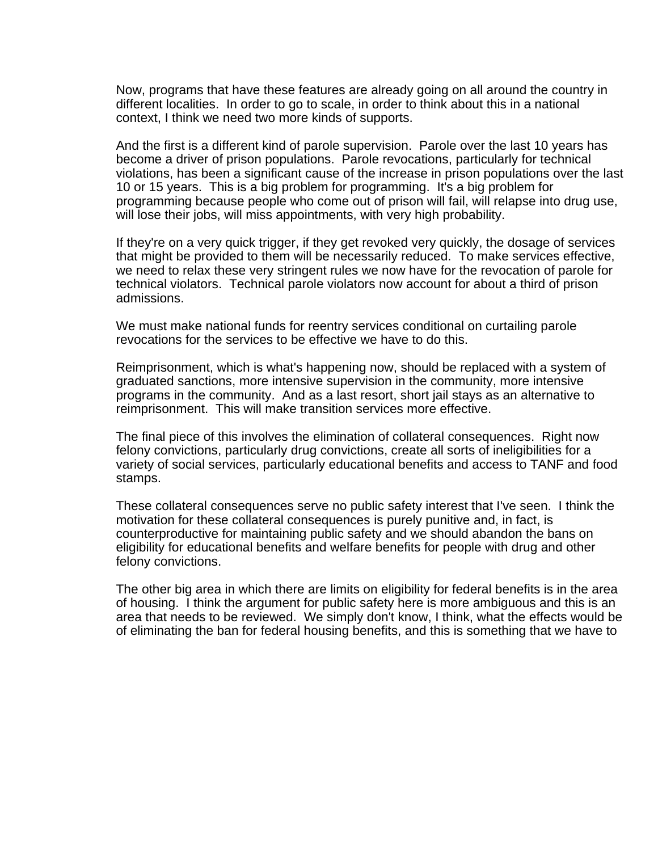Now, programs that have these features are already going on all around the country in different localities. In order to go to scale, in order to think about this in a national context, I think we need two more kinds of supports.

And the first is a different kind of parole supervision. Parole over the last 10 years has become a driver of prison populations. Parole revocations, particularly for technical violations, has been a significant cause of the increase in prison populations over the last 10 or 15 years. This is a big problem for programming. It's a big problem for programming because people who come out of prison will fail, will relapse into drug use, will lose their jobs, will miss appointments, with very high probability.

If they're on a very quick trigger, if they get revoked very quickly, the dosage of services that might be provided to them will be necessarily reduced. To make services effective, we need to relax these very stringent rules we now have for the revocation of parole for technical violators. Technical parole violators now account for about a third of prison admissions.

We must make national funds for reentry services conditional on curtailing parole revocations for the services to be effective we have to do this.

Reimprisonment, which is what's happening now, should be replaced with a system of graduated sanctions, more intensive supervision in the community, more intensive programs in the community. And as a last resort, short jail stays as an alternative to reimprisonment. This will make transition services more effective.

The final piece of this involves the elimination of collateral consequences. Right now felony convictions, particularly drug convictions, create all sorts of ineligibilities for a variety of social services, particularly educational benefits and access to TANF and food stamps.

These collateral consequences serve no public safety interest that I've seen. I think the motivation for these collateral consequences is purely punitive and, in fact, is counterproductive for maintaining public safety and we should abandon the bans on eligibility for educational benefits and welfare benefits for people with drug and other felony convictions.

The other big area in which there are limits on eligibility for federal benefits is in the area of housing. I think the argument for public safety here is more ambiguous and this is an area that needs to be reviewed. We simply don't know, I think, what the effects would be of eliminating the ban for federal housing benefits, and this is something that we have to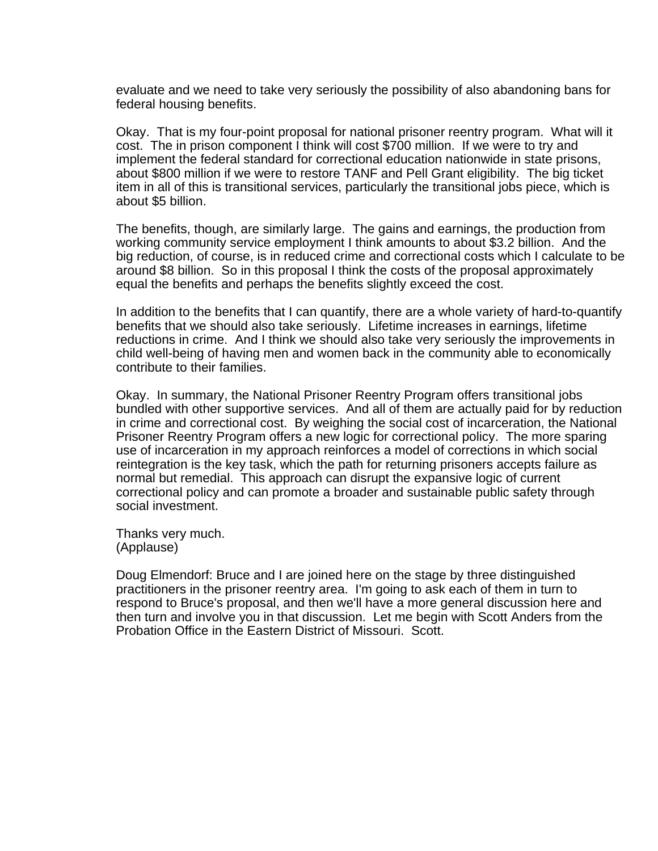evaluate and we need to take very seriously the possibility of also abandoning bans for federal housing benefits.

Okay. That is my four-point proposal for national prisoner reentry program. What will it cost. The in prison component I think will cost \$700 million. If we were to try and implement the federal standard for correctional education nationwide in state prisons, about \$800 million if we were to restore TANF and Pell Grant eligibility. The big ticket item in all of this is transitional services, particularly the transitional jobs piece, which is about \$5 billion.

The benefits, though, are similarly large. The gains and earnings, the production from working community service employment I think amounts to about \$3.2 billion. And the big reduction, of course, is in reduced crime and correctional costs which I calculate to be around \$8 billion. So in this proposal I think the costs of the proposal approximately equal the benefits and perhaps the benefits slightly exceed the cost.

In addition to the benefits that I can quantify, there are a whole variety of hard-to-quantify benefits that we should also take seriously. Lifetime increases in earnings, lifetime reductions in crime. And I think we should also take very seriously the improvements in child well-being of having men and women back in the community able to economically contribute to their families.

Okay. In summary, the National Prisoner Reentry Program offers transitional jobs bundled with other supportive services. And all of them are actually paid for by reduction in crime and correctional cost. By weighing the social cost of incarceration, the National Prisoner Reentry Program offers a new logic for correctional policy. The more sparing use of incarceration in my approach reinforces a model of corrections in which social reintegration is the key task, which the path for returning prisoners accepts failure as normal but remedial. This approach can disrupt the expansive logic of current correctional policy and can promote a broader and sustainable public safety through social investment.

Thanks very much. (Applause)

Doug Elmendorf: Bruce and I are joined here on the stage by three distinguished practitioners in the prisoner reentry area. I'm going to ask each of them in turn to respond to Bruce's proposal, and then we'll have a more general discussion here and then turn and involve you in that discussion. Let me begin with Scott Anders from the Probation Office in the Eastern District of Missouri. Scott.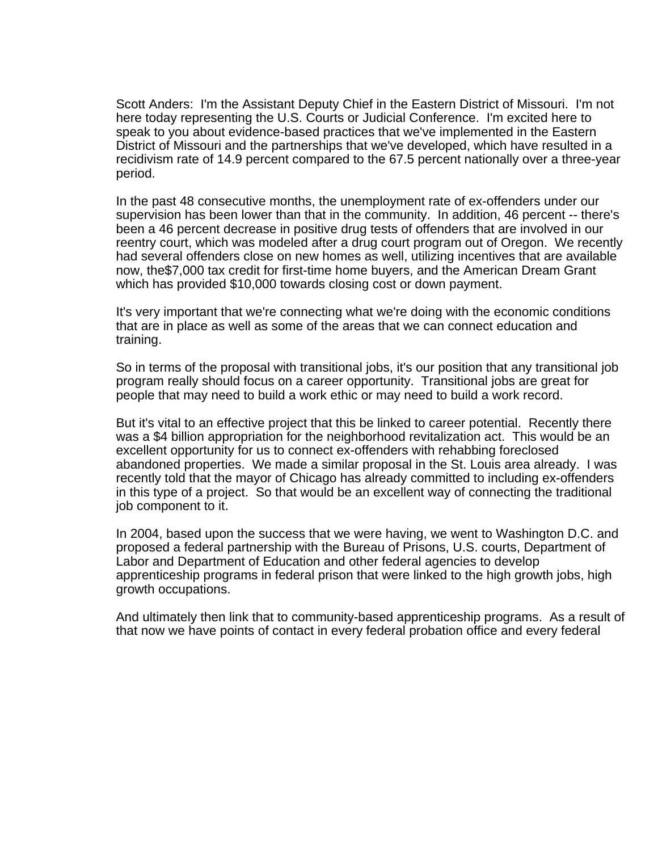Scott Anders: I'm the Assistant Deputy Chief in the Eastern District of Missouri. I'm not here today representing the U.S. Courts or Judicial Conference. I'm excited here to speak to you about evidence-based practices that we've implemented in the Eastern District of Missouri and the partnerships that we've developed, which have resulted in a recidivism rate of 14.9 percent compared to the 67.5 percent nationally over a three-year period.

In the past 48 consecutive months, the unemployment rate of ex-offenders under our supervision has been lower than that in the community. In addition, 46 percent -- there's been a 46 percent decrease in positive drug tests of offenders that are involved in our reentry court, which was modeled after a drug court program out of Oregon. We recently had several offenders close on new homes as well, utilizing incentives that are available now, the\$7,000 tax credit for first-time home buyers, and the American Dream Grant which has provided \$10,000 towards closing cost or down payment.

It's very important that we're connecting what we're doing with the economic conditions that are in place as well as some of the areas that we can connect education and training.

So in terms of the proposal with transitional jobs, it's our position that any transitional job program really should focus on a career opportunity. Transitional jobs are great for people that may need to build a work ethic or may need to build a work record.

But it's vital to an effective project that this be linked to career potential. Recently there was a \$4 billion appropriation for the neighborhood revitalization act. This would be an excellent opportunity for us to connect ex-offenders with rehabbing foreclosed abandoned properties. We made a similar proposal in the St. Louis area already. I was recently told that the mayor of Chicago has already committed to including ex-offenders in this type of a project. So that would be an excellent way of connecting the traditional job component to it.

In 2004, based upon the success that we were having, we went to Washington D.C. and proposed a federal partnership with the Bureau of Prisons, U.S. courts, Department of Labor and Department of Education and other federal agencies to develop apprenticeship programs in federal prison that were linked to the high growth jobs, high growth occupations.

And ultimately then link that to community-based apprenticeship programs. As a result of that now we have points of contact in every federal probation office and every federal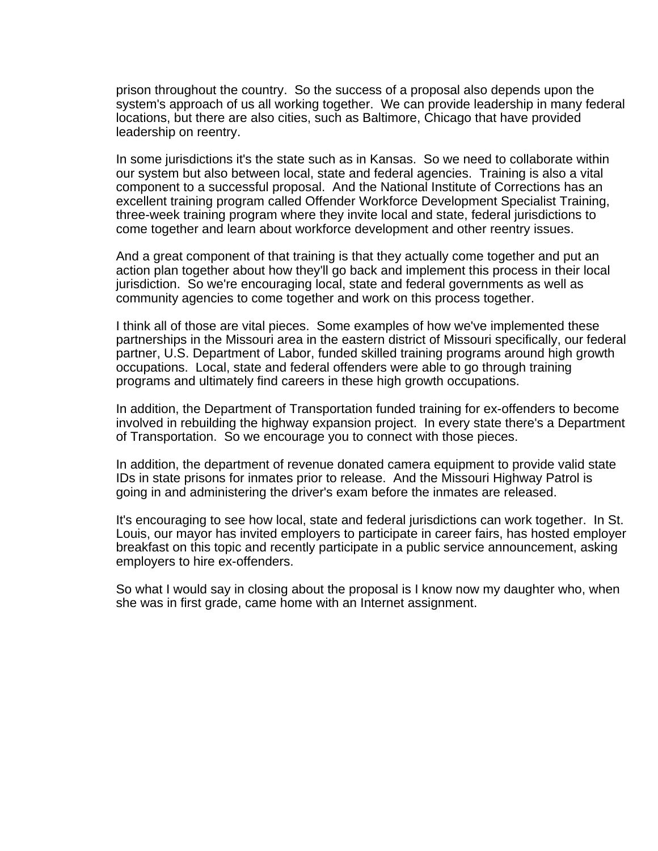prison throughout the country. So the success of a proposal also depends upon the system's approach of us all working together. We can provide leadership in many federal locations, but there are also cities, such as Baltimore, Chicago that have provided leadership on reentry.

In some jurisdictions it's the state such as in Kansas. So we need to collaborate within our system but also between local, state and federal agencies. Training is also a vital component to a successful proposal. And the National Institute of Corrections has an excellent training program called Offender Workforce Development Specialist Training, three-week training program where they invite local and state, federal jurisdictions to come together and learn about workforce development and other reentry issues.

And a great component of that training is that they actually come together and put an action plan together about how they'll go back and implement this process in their local jurisdiction. So we're encouraging local, state and federal governments as well as community agencies to come together and work on this process together.

I think all of those are vital pieces. Some examples of how we've implemented these partnerships in the Missouri area in the eastern district of Missouri specifically, our federal partner, U.S. Department of Labor, funded skilled training programs around high growth occupations. Local, state and federal offenders were able to go through training programs and ultimately find careers in these high growth occupations.

In addition, the Department of Transportation funded training for ex-offenders to become involved in rebuilding the highway expansion project. In every state there's a Department of Transportation. So we encourage you to connect with those pieces.

In addition, the department of revenue donated camera equipment to provide valid state IDs in state prisons for inmates prior to release. And the Missouri Highway Patrol is going in and administering the driver's exam before the inmates are released.

It's encouraging to see how local, state and federal jurisdictions can work together. In St. Louis, our mayor has invited employers to participate in career fairs, has hosted employer breakfast on this topic and recently participate in a public service announcement, asking employers to hire ex-offenders.

So what I would say in closing about the proposal is I know now my daughter who, when she was in first grade, came home with an Internet assignment.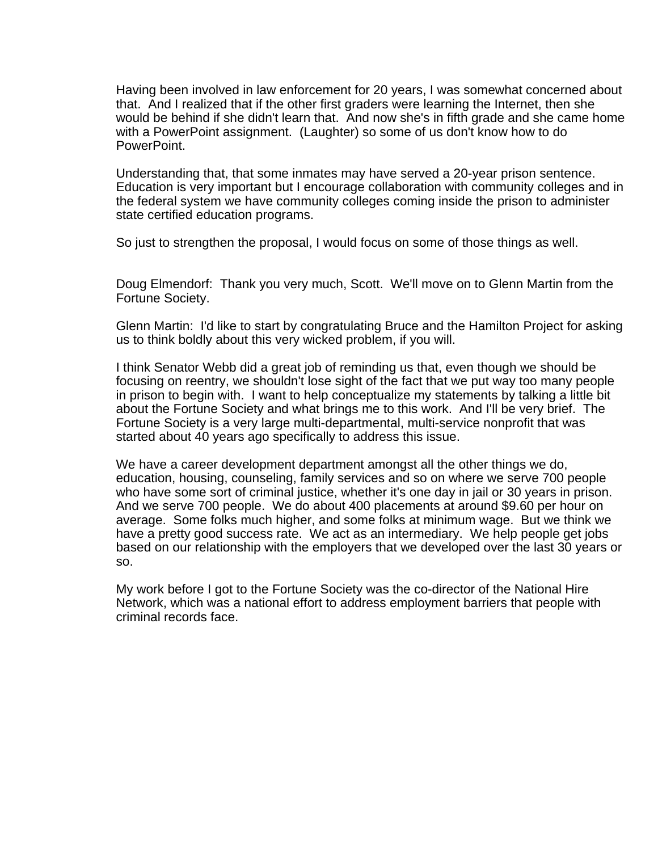Having been involved in law enforcement for 20 years, I was somewhat concerned about that. And I realized that if the other first graders were learning the Internet, then she would be behind if she didn't learn that. And now she's in fifth grade and she came home with a PowerPoint assignment. (Laughter) so some of us don't know how to do PowerPoint.

Understanding that, that some inmates may have served a 20-year prison sentence. Education is very important but I encourage collaboration with community colleges and in the federal system we have community colleges coming inside the prison to administer state certified education programs.

So just to strengthen the proposal, I would focus on some of those things as well.

Doug Elmendorf: Thank you very much, Scott. We'll move on to Glenn Martin from the Fortune Society.

Glenn Martin: I'd like to start by congratulating Bruce and the Hamilton Project for asking us to think boldly about this very wicked problem, if you will.

I think Senator Webb did a great job of reminding us that, even though we should be focusing on reentry, we shouldn't lose sight of the fact that we put way too many people in prison to begin with. I want to help conceptualize my statements by talking a little bit about the Fortune Society and what brings me to this work. And I'll be very brief. The Fortune Society is a very large multi-departmental, multi-service nonprofit that was started about 40 years ago specifically to address this issue.

We have a career development department amongst all the other things we do, education, housing, counseling, family services and so on where we serve 700 people who have some sort of criminal justice, whether it's one day in jail or 30 years in prison. And we serve 700 people. We do about 400 placements at around \$9.60 per hour on average. Some folks much higher, and some folks at minimum wage. But we think we have a pretty good success rate. We act as an intermediary. We help people get jobs based on our relationship with the employers that we developed over the last 30 years or so.

My work before I got to the Fortune Society was the co-director of the National Hire Network, which was a national effort to address employment barriers that people with criminal records face.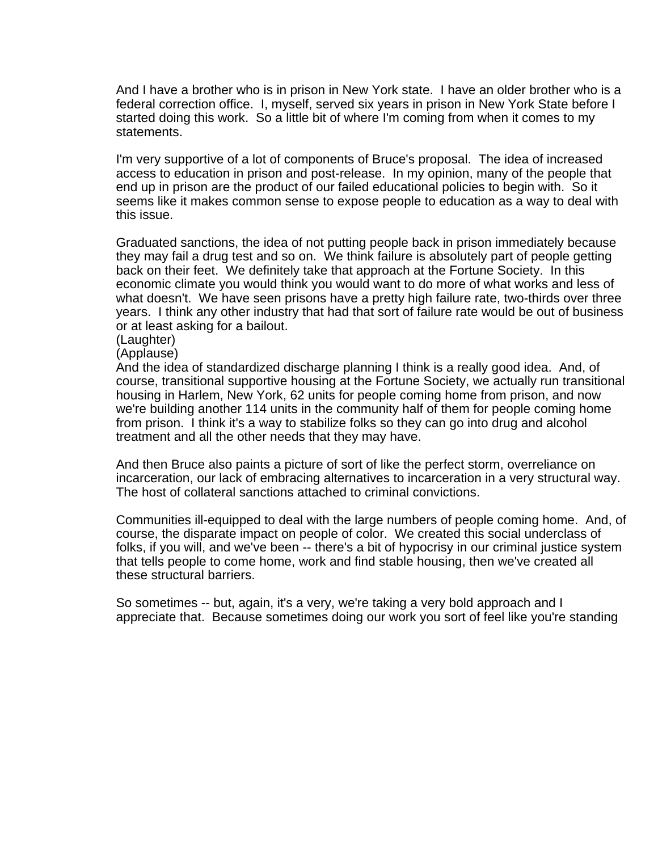And I have a brother who is in prison in New York state. I have an older brother who is a federal correction office. I, myself, served six years in prison in New York State before I started doing this work. So a little bit of where I'm coming from when it comes to my statements.

I'm very supportive of a lot of components of Bruce's proposal. The idea of increased access to education in prison and post-release. In my opinion, many of the people that end up in prison are the product of our failed educational policies to begin with. So it seems like it makes common sense to expose people to education as a way to deal with this issue.

Graduated sanctions, the idea of not putting people back in prison immediately because they may fail a drug test and so on. We think failure is absolutely part of people getting back on their feet. We definitely take that approach at the Fortune Society. In this economic climate you would think you would want to do more of what works and less of what doesn't. We have seen prisons have a pretty high failure rate, two-thirds over three years. I think any other industry that had that sort of failure rate would be out of business or at least asking for a bailout.

(Laughter)

(Applause)

And the idea of standardized discharge planning I think is a really good idea. And, of course, transitional supportive housing at the Fortune Society, we actually run transitional housing in Harlem, New York, 62 units for people coming home from prison, and now we're building another 114 units in the community half of them for people coming home from prison. I think it's a way to stabilize folks so they can go into drug and alcohol treatment and all the other needs that they may have.

And then Bruce also paints a picture of sort of like the perfect storm, overreliance on incarceration, our lack of embracing alternatives to incarceration in a very structural way. The host of collateral sanctions attached to criminal convictions.

Communities ill-equipped to deal with the large numbers of people coming home. And, of course, the disparate impact on people of color. We created this social underclass of folks, if you will, and we've been -- there's a bit of hypocrisy in our criminal justice system that tells people to come home, work and find stable housing, then we've created all these structural barriers.

So sometimes -- but, again, it's a very, we're taking a very bold approach and I appreciate that. Because sometimes doing our work you sort of feel like you're standing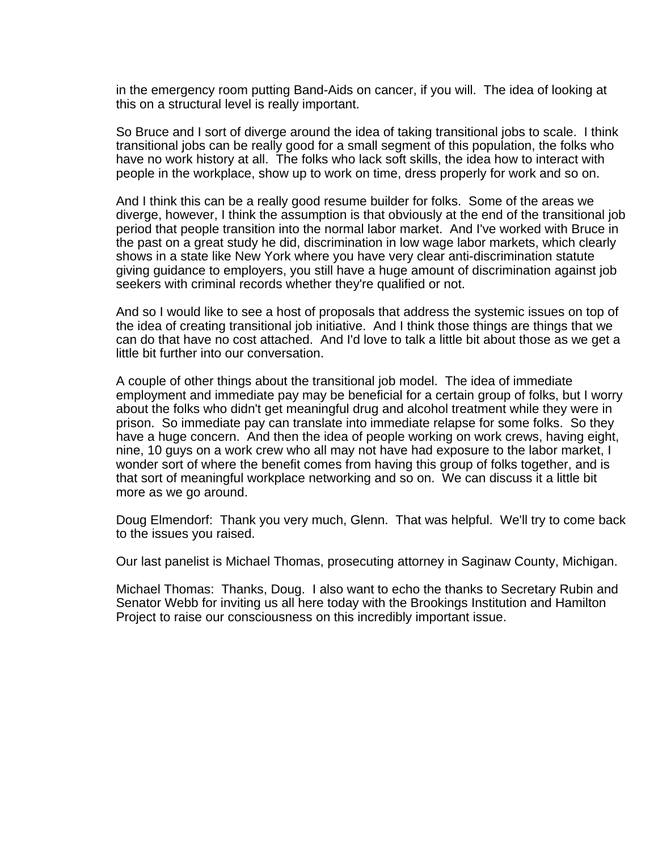in the emergency room putting Band-Aids on cancer, if you will. The idea of looking at this on a structural level is really important.

So Bruce and I sort of diverge around the idea of taking transitional jobs to scale. I think transitional jobs can be really good for a small segment of this population, the folks who have no work history at all. The folks who lack soft skills, the idea how to interact with people in the workplace, show up to work on time, dress properly for work and so on.

And I think this can be a really good resume builder for folks. Some of the areas we diverge, however, I think the assumption is that obviously at the end of the transitional job period that people transition into the normal labor market. And I've worked with Bruce in the past on a great study he did, discrimination in low wage labor markets, which clearly shows in a state like New York where you have very clear anti-discrimination statute giving guidance to employers, you still have a huge amount of discrimination against job seekers with criminal records whether they're qualified or not.

And so I would like to see a host of proposals that address the systemic issues on top of the idea of creating transitional job initiative. And I think those things are things that we can do that have no cost attached. And I'd love to talk a little bit about those as we get a little bit further into our conversation.

A couple of other things about the transitional job model. The idea of immediate employment and immediate pay may be beneficial for a certain group of folks, but I worry about the folks who didn't get meaningful drug and alcohol treatment while they were in prison. So immediate pay can translate into immediate relapse for some folks. So they have a huge concern. And then the idea of people working on work crews, having eight, nine, 10 guys on a work crew who all may not have had exposure to the labor market, I wonder sort of where the benefit comes from having this group of folks together, and is that sort of meaningful workplace networking and so on. We can discuss it a little bit more as we go around.

Doug Elmendorf: Thank you very much, Glenn. That was helpful. We'll try to come back to the issues you raised.

Our last panelist is Michael Thomas, prosecuting attorney in Saginaw County, Michigan.

Michael Thomas: Thanks, Doug. I also want to echo the thanks to Secretary Rubin and Senator Webb for inviting us all here today with the Brookings Institution and Hamilton Project to raise our consciousness on this incredibly important issue.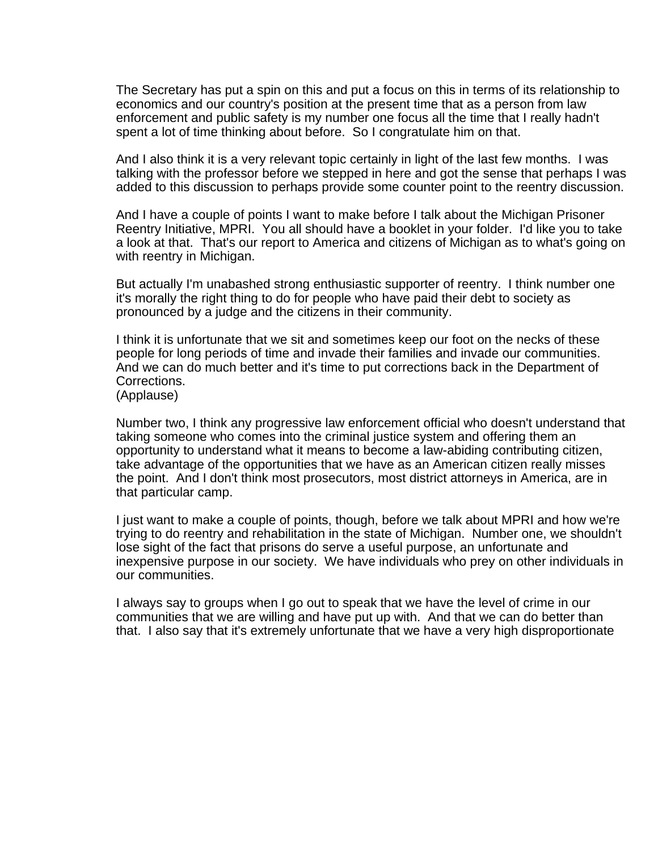The Secretary has put a spin on this and put a focus on this in terms of its relationship to economics and our country's position at the present time that as a person from law enforcement and public safety is my number one focus all the time that I really hadn't spent a lot of time thinking about before. So I congratulate him on that.

And I also think it is a very relevant topic certainly in light of the last few months. I was talking with the professor before we stepped in here and got the sense that perhaps I was added to this discussion to perhaps provide some counter point to the reentry discussion.

And I have a couple of points I want to make before I talk about the Michigan Prisoner Reentry Initiative, MPRI. You all should have a booklet in your folder. I'd like you to take a look at that. That's our report to America and citizens of Michigan as to what's going on with reentry in Michigan.

But actually I'm unabashed strong enthusiastic supporter of reentry. I think number one it's morally the right thing to do for people who have paid their debt to society as pronounced by a judge and the citizens in their community.

I think it is unfortunate that we sit and sometimes keep our foot on the necks of these people for long periods of time and invade their families and invade our communities. And we can do much better and it's time to put corrections back in the Department of Corrections.

(Applause)

Number two, I think any progressive law enforcement official who doesn't understand that taking someone who comes into the criminal justice system and offering them an opportunity to understand what it means to become a law-abiding contributing citizen, take advantage of the opportunities that we have as an American citizen really misses the point. And I don't think most prosecutors, most district attorneys in America, are in that particular camp.

I just want to make a couple of points, though, before we talk about MPRI and how we're trying to do reentry and rehabilitation in the state of Michigan. Number one, we shouldn't lose sight of the fact that prisons do serve a useful purpose, an unfortunate and inexpensive purpose in our society. We have individuals who prey on other individuals in our communities.

I always say to groups when I go out to speak that we have the level of crime in our communities that we are willing and have put up with. And that we can do better than that. I also say that it's extremely unfortunate that we have a very high disproportionate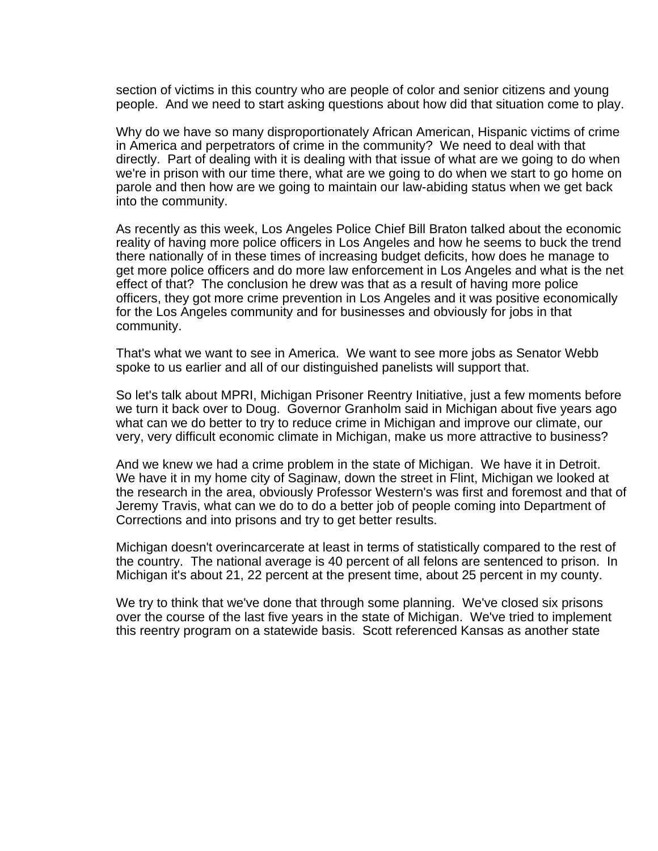section of victims in this country who are people of color and senior citizens and young people. And we need to start asking questions about how did that situation come to play.

Why do we have so many disproportionately African American, Hispanic victims of crime in America and perpetrators of crime in the community? We need to deal with that directly. Part of dealing with it is dealing with that issue of what are we going to do when we're in prison with our time there, what are we going to do when we start to go home on parole and then how are we going to maintain our law-abiding status when we get back into the community.

As recently as this week, Los Angeles Police Chief Bill Braton talked about the economic reality of having more police officers in Los Angeles and how he seems to buck the trend there nationally of in these times of increasing budget deficits, how does he manage to get more police officers and do more law enforcement in Los Angeles and what is the net effect of that? The conclusion he drew was that as a result of having more police officers, they got more crime prevention in Los Angeles and it was positive economically for the Los Angeles community and for businesses and obviously for jobs in that community.

That's what we want to see in America. We want to see more jobs as Senator Webb spoke to us earlier and all of our distinguished panelists will support that.

So let's talk about MPRI, Michigan Prisoner Reentry Initiative, just a few moments before we turn it back over to Doug. Governor Granholm said in Michigan about five years ago what can we do better to try to reduce crime in Michigan and improve our climate, our very, very difficult economic climate in Michigan, make us more attractive to business?

And we knew we had a crime problem in the state of Michigan. We have it in Detroit. We have it in my home city of Saginaw, down the street in Flint, Michigan we looked at the research in the area, obviously Professor Western's was first and foremost and that of Jeremy Travis, what can we do to do a better job of people coming into Department of Corrections and into prisons and try to get better results.

Michigan doesn't overincarcerate at least in terms of statistically compared to the rest of the country. The national average is 40 percent of all felons are sentenced to prison. In Michigan it's about 21, 22 percent at the present time, about 25 percent in my county.

We try to think that we've done that through some planning. We've closed six prisons over the course of the last five years in the state of Michigan. We've tried to implement this reentry program on a statewide basis. Scott referenced Kansas as another state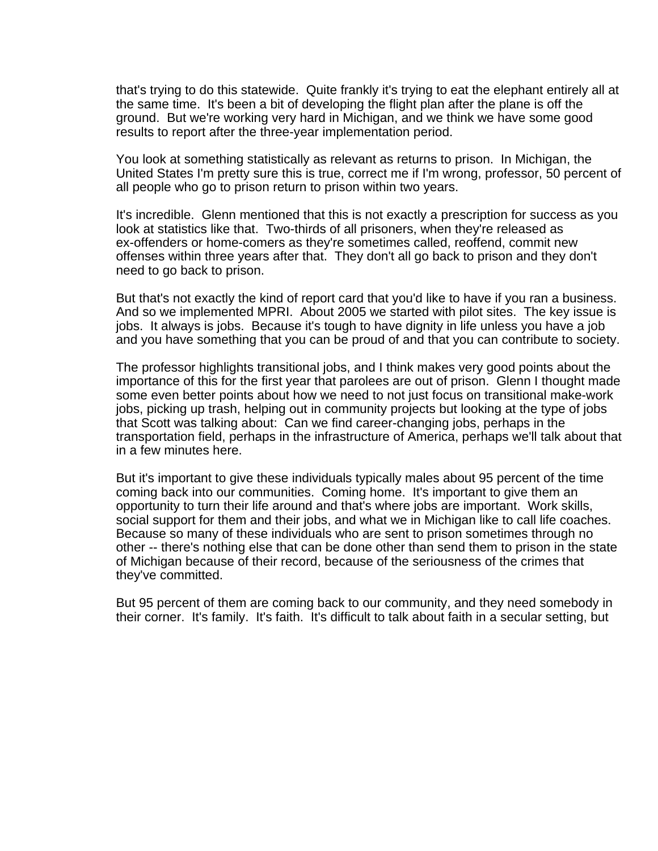that's trying to do this statewide. Quite frankly it's trying to eat the elephant entirely all at the same time. It's been a bit of developing the flight plan after the plane is off the ground. But we're working very hard in Michigan, and we think we have some good results to report after the three-year implementation period.

You look at something statistically as relevant as returns to prison. In Michigan, the United States I'm pretty sure this is true, correct me if I'm wrong, professor, 50 percent of all people who go to prison return to prison within two years.

It's incredible. Glenn mentioned that this is not exactly a prescription for success as you look at statistics like that. Two-thirds of all prisoners, when they're released as ex-offenders or home-comers as they're sometimes called, reoffend, commit new offenses within three years after that. They don't all go back to prison and they don't need to go back to prison.

But that's not exactly the kind of report card that you'd like to have if you ran a business. And so we implemented MPRI. About 2005 we started with pilot sites. The key issue is jobs. It always is jobs. Because it's tough to have dignity in life unless you have a job and you have something that you can be proud of and that you can contribute to society.

The professor highlights transitional jobs, and I think makes very good points about the importance of this for the first year that parolees are out of prison. Glenn I thought made some even better points about how we need to not just focus on transitional make-work jobs, picking up trash, helping out in community projects but looking at the type of jobs that Scott was talking about: Can we find career-changing jobs, perhaps in the transportation field, perhaps in the infrastructure of America, perhaps we'll talk about that in a few minutes here.

But it's important to give these individuals typically males about 95 percent of the time coming back into our communities. Coming home. It's important to give them an opportunity to turn their life around and that's where jobs are important. Work skills, social support for them and their jobs, and what we in Michigan like to call life coaches. Because so many of these individuals who are sent to prison sometimes through no other -- there's nothing else that can be done other than send them to prison in the state of Michigan because of their record, because of the seriousness of the crimes that they've committed.

But 95 percent of them are coming back to our community, and they need somebody in their corner. It's family. It's faith. It's difficult to talk about faith in a secular setting, but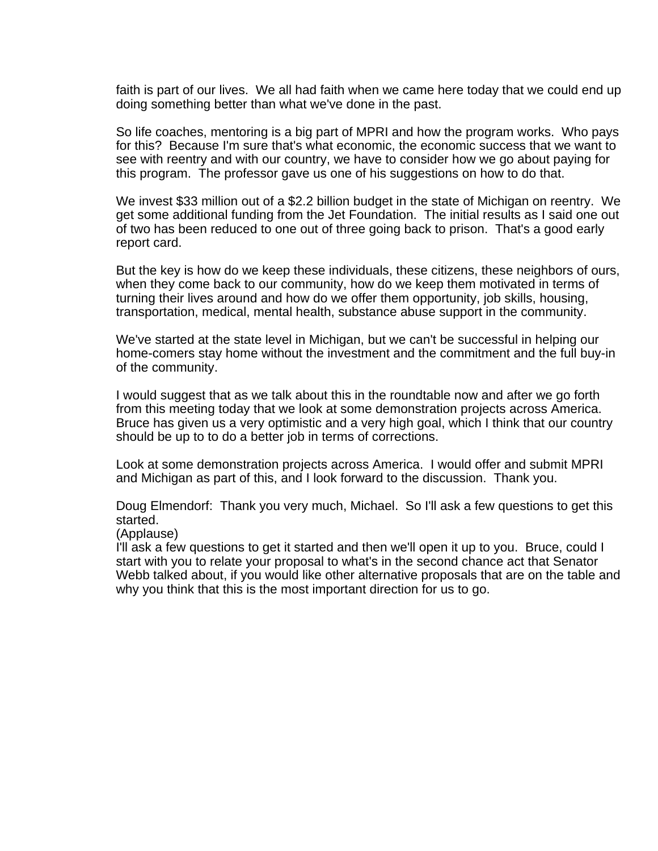faith is part of our lives. We all had faith when we came here today that we could end up doing something better than what we've done in the past.

So life coaches, mentoring is a big part of MPRI and how the program works. Who pays for this? Because I'm sure that's what economic, the economic success that we want to see with reentry and with our country, we have to consider how we go about paying for this program. The professor gave us one of his suggestions on how to do that.

We invest \$33 million out of a \$2.2 billion budget in the state of Michigan on reentry. We get some additional funding from the Jet Foundation. The initial results as I said one out of two has been reduced to one out of three going back to prison. That's a good early report card.

But the key is how do we keep these individuals, these citizens, these neighbors of ours, when they come back to our community, how do we keep them motivated in terms of turning their lives around and how do we offer them opportunity, job skills, housing, transportation, medical, mental health, substance abuse support in the community.

We've started at the state level in Michigan, but we can't be successful in helping our home-comers stay home without the investment and the commitment and the full buy-in of the community.

I would suggest that as we talk about this in the roundtable now and after we go forth from this meeting today that we look at some demonstration projects across America. Bruce has given us a very optimistic and a very high goal, which I think that our country should be up to to do a better job in terms of corrections.

Look at some demonstration projects across America. I would offer and submit MPRI and Michigan as part of this, and I look forward to the discussion. Thank you.

Doug Elmendorf: Thank you very much, Michael. So I'll ask a few questions to get this started.

## (Applause)

I'll ask a few questions to get it started and then we'll open it up to you. Bruce, could I start with you to relate your proposal to what's in the second chance act that Senator Webb talked about, if you would like other alternative proposals that are on the table and why you think that this is the most important direction for us to go.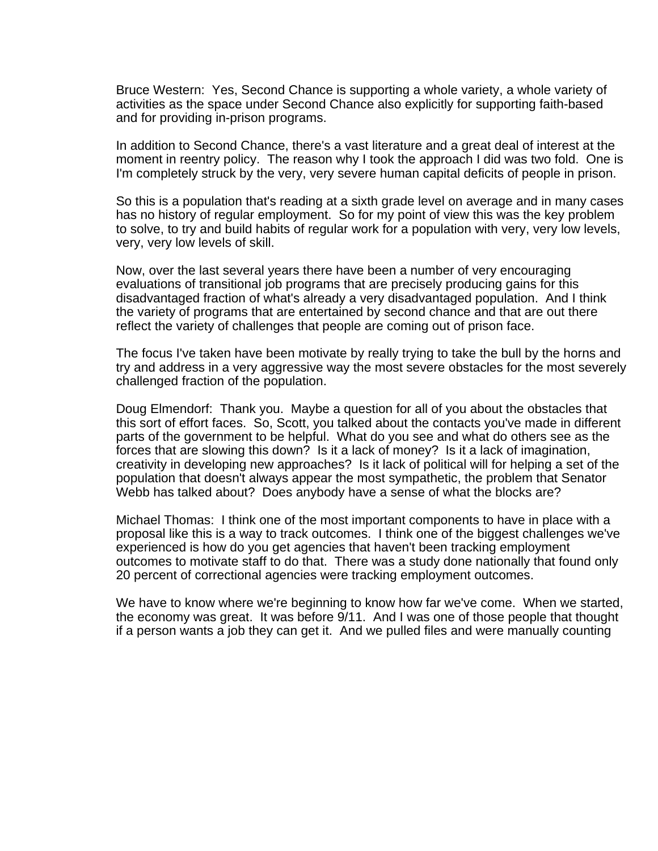Bruce Western: Yes, Second Chance is supporting a whole variety, a whole variety of activities as the space under Second Chance also explicitly for supporting faith-based and for providing in-prison programs.

In addition to Second Chance, there's a vast literature and a great deal of interest at the moment in reentry policy. The reason why I took the approach I did was two fold. One is I'm completely struck by the very, very severe human capital deficits of people in prison.

So this is a population that's reading at a sixth grade level on average and in many cases has no history of regular employment. So for my point of view this was the key problem to solve, to try and build habits of regular work for a population with very, very low levels, very, very low levels of skill.

Now, over the last several years there have been a number of very encouraging evaluations of transitional job programs that are precisely producing gains for this disadvantaged fraction of what's already a very disadvantaged population. And I think the variety of programs that are entertained by second chance and that are out there reflect the variety of challenges that people are coming out of prison face.

The focus I've taken have been motivate by really trying to take the bull by the horns and try and address in a very aggressive way the most severe obstacles for the most severely challenged fraction of the population.

Doug Elmendorf: Thank you. Maybe a question for all of you about the obstacles that this sort of effort faces. So, Scott, you talked about the contacts you've made in different parts of the government to be helpful. What do you see and what do others see as the forces that are slowing this down? Is it a lack of money? Is it a lack of imagination, creativity in developing new approaches? Is it lack of political will for helping a set of the population that doesn't always appear the most sympathetic, the problem that Senator Webb has talked about? Does anybody have a sense of what the blocks are?

Michael Thomas: I think one of the most important components to have in place with a proposal like this is a way to track outcomes. I think one of the biggest challenges we've experienced is how do you get agencies that haven't been tracking employment outcomes to motivate staff to do that. There was a study done nationally that found only 20 percent of correctional agencies were tracking employment outcomes.

We have to know where we're beginning to know how far we've come. When we started, the economy was great. It was before 9/11. And I was one of those people that thought if a person wants a job they can get it. And we pulled files and were manually counting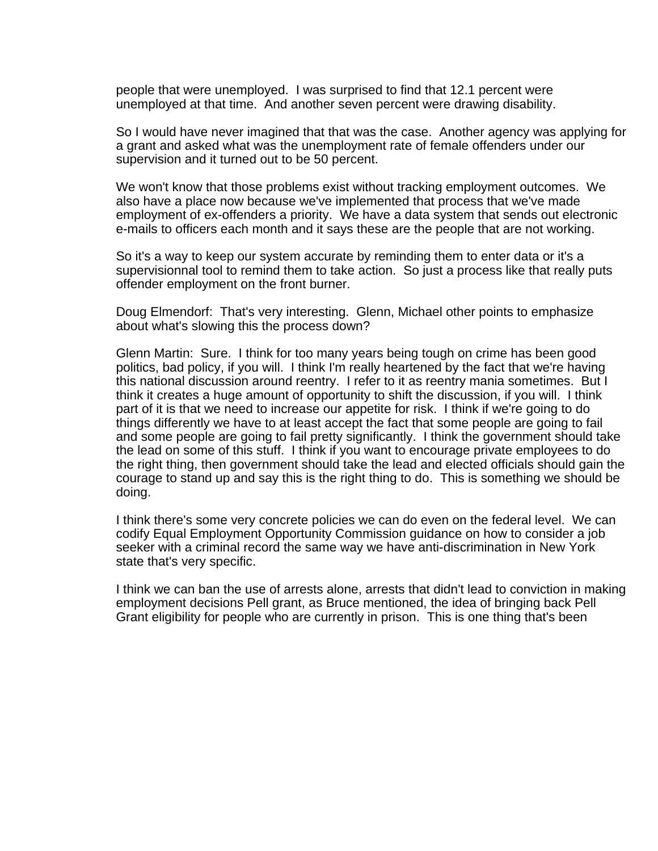people that were unemployed. I was surprised to find that 12.1 percent were unemployed at that time. And another seven percent were drawing disability.

So I would have never imagined that that was the case. Another agency was applying for a grant and asked what was the unemployment rate of female offenders under our supervision and it turned out to be 50 percent.

We won't know that those problems exist without tracking employment outcomes. We also have a place now because we've implemented that process that we've made employment of ex-offenders a priority. We have a data system that sends out electronic e-mails to officers each month and it says these are the people that are not working.

So it's a way to keep our system accurate by reminding them to enter data or it's a supervisionnal tool to remind them to take action. So just a process like that really puts offender employment on the front burner.

Doug Elmendorf: That's very interesting. Glenn, Michael other points to emphasize about what's slowing this the process down?

Glenn Martin: Sure. I think for too many years being tough on crime has been good politics, bad policy, if you will. I think I'm really heartened by the fact that we're having this national discussion around reentry. I refer to it as reentry mania sometimes. But I think it creates a huge amount of opportunity to shift the discussion, if you will. I think part of it is that we need to increase our appetite for risk. I think if we're going to do things differently we have to at least accept the fact that some people are going to fail and some people are going to fail pretty significantly. I think the government should take the lead on some of this stuff. I think if you want to encourage private employees to do the right thing, then government should take the lead and elected officials should gain the courage to stand up and say this is the right thing to do. This is something we should be doing.

I think there's some very concrete policies we can do even on the federal level. We can codify Equal Employment Opportunity Commission guidance on how to consider a job seeker with a criminal record the same way we have anti-discrimination in New York state that's very specific.

I think we can ban the use of arrests alone, arrests that didn't lead to conviction in making employment decisions Pell grant, as Bruce mentioned, the idea of bringing back Pell Grant eligibility for people who are currently in prison. This is one thing that's been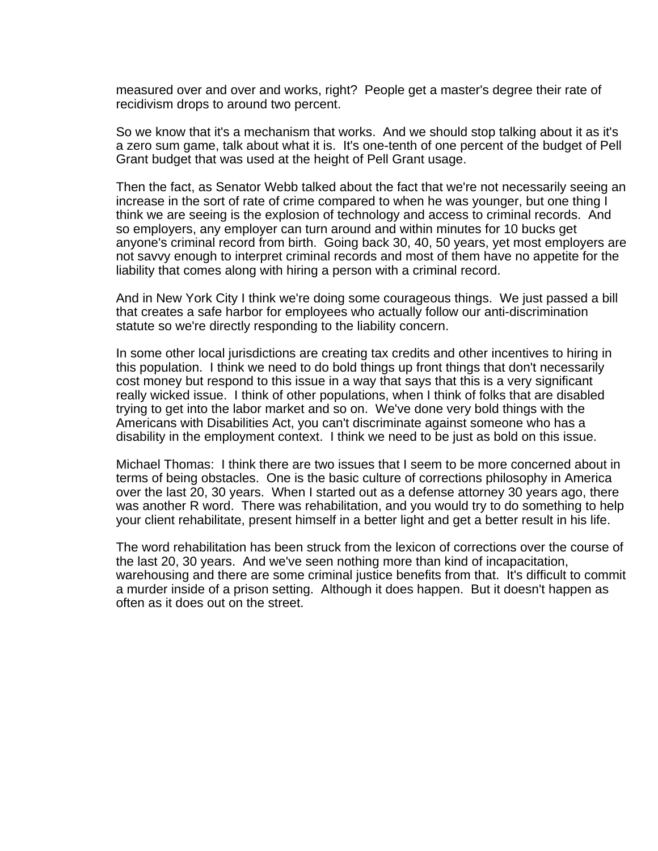measured over and over and works, right? People get a master's degree their rate of recidivism drops to around two percent.

So we know that it's a mechanism that works. And we should stop talking about it as it's a zero sum game, talk about what it is. It's one-tenth of one percent of the budget of Pell Grant budget that was used at the height of Pell Grant usage.

Then the fact, as Senator Webb talked about the fact that we're not necessarily seeing an increase in the sort of rate of crime compared to when he was younger, but one thing I think we are seeing is the explosion of technology and access to criminal records. And so employers, any employer can turn around and within minutes for 10 bucks get anyone's criminal record from birth. Going back 30, 40, 50 years, yet most employers are not savvy enough to interpret criminal records and most of them have no appetite for the liability that comes along with hiring a person with a criminal record.

And in New York City I think we're doing some courageous things. We just passed a bill that creates a safe harbor for employees who actually follow our anti-discrimination statute so we're directly responding to the liability concern.

In some other local jurisdictions are creating tax credits and other incentives to hiring in this population. I think we need to do bold things up front things that don't necessarily cost money but respond to this issue in a way that says that this is a very significant really wicked issue. I think of other populations, when I think of folks that are disabled trying to get into the labor market and so on. We've done very bold things with the Americans with Disabilities Act, you can't discriminate against someone who has a disability in the employment context. I think we need to be just as bold on this issue.

Michael Thomas: I think there are two issues that I seem to be more concerned about in terms of being obstacles. One is the basic culture of corrections philosophy in America over the last 20, 30 years. When I started out as a defense attorney 30 years ago, there was another R word. There was rehabilitation, and you would try to do something to help your client rehabilitate, present himself in a better light and get a better result in his life.

The word rehabilitation has been struck from the lexicon of corrections over the course of the last 20, 30 years. And we've seen nothing more than kind of incapacitation, warehousing and there are some criminal justice benefits from that. It's difficult to commit a murder inside of a prison setting. Although it does happen. But it doesn't happen as often as it does out on the street.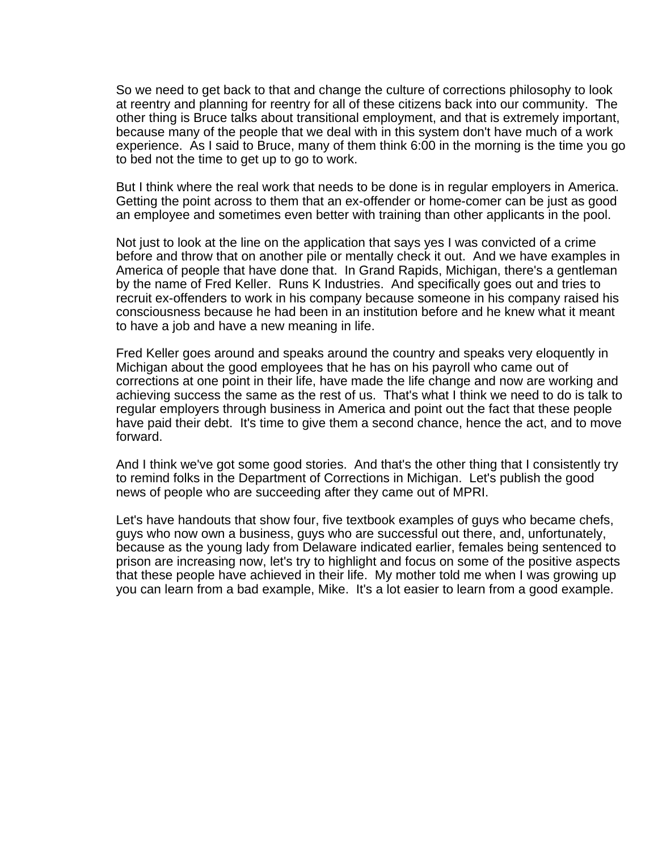So we need to get back to that and change the culture of corrections philosophy to look at reentry and planning for reentry for all of these citizens back into our community. The other thing is Bruce talks about transitional employment, and that is extremely important, because many of the people that we deal with in this system don't have much of a work experience. As I said to Bruce, many of them think 6:00 in the morning is the time you go to bed not the time to get up to go to work.

But I think where the real work that needs to be done is in regular employers in America. Getting the point across to them that an ex-offender or home-comer can be just as good an employee and sometimes even better with training than other applicants in the pool.

Not just to look at the line on the application that says yes I was convicted of a crime before and throw that on another pile or mentally check it out. And we have examples in America of people that have done that. In Grand Rapids, Michigan, there's a gentleman by the name of Fred Keller. Runs K Industries. And specifically goes out and tries to recruit ex-offenders to work in his company because someone in his company raised his consciousness because he had been in an institution before and he knew what it meant to have a job and have a new meaning in life.

Fred Keller goes around and speaks around the country and speaks very eloquently in Michigan about the good employees that he has on his payroll who came out of corrections at one point in their life, have made the life change and now are working and achieving success the same as the rest of us. That's what I think we need to do is talk to regular employers through business in America and point out the fact that these people have paid their debt. It's time to give them a second chance, hence the act, and to move forward.

And I think we've got some good stories. And that's the other thing that I consistently try to remind folks in the Department of Corrections in Michigan. Let's publish the good news of people who are succeeding after they came out of MPRI.

Let's have handouts that show four, five textbook examples of guys who became chefs, guys who now own a business, guys who are successful out there, and, unfortunately, because as the young lady from Delaware indicated earlier, females being sentenced to prison are increasing now, let's try to highlight and focus on some of the positive aspects that these people have achieved in their life. My mother told me when I was growing up you can learn from a bad example, Mike. It's a lot easier to learn from a good example.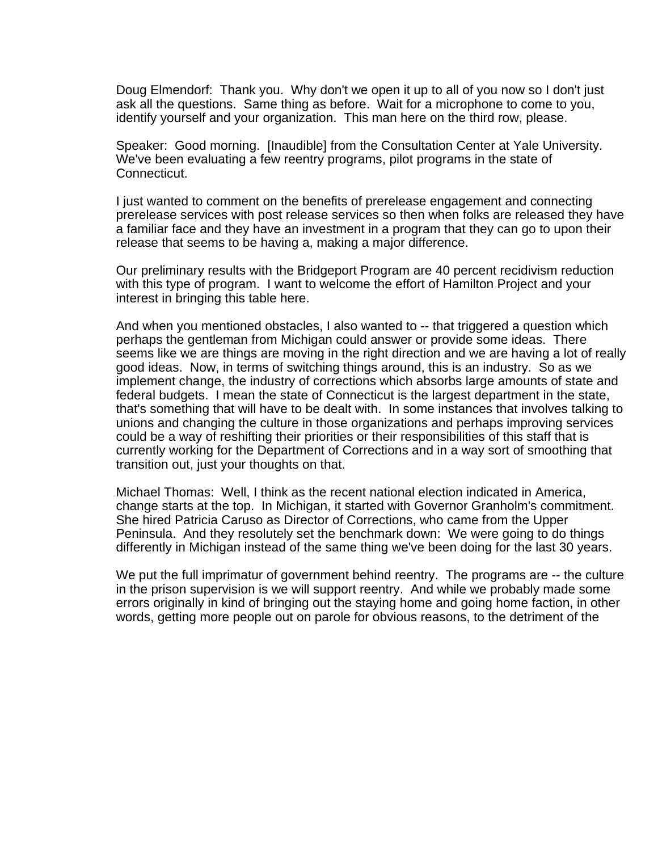Doug Elmendorf: Thank you. Why don't we open it up to all of you now so I don't just ask all the questions. Same thing as before. Wait for a microphone to come to you, identify yourself and your organization. This man here on the third row, please.

Speaker: Good morning. [Inaudible] from the Consultation Center at Yale University. We've been evaluating a few reentry programs, pilot programs in the state of Connecticut.

I just wanted to comment on the benefits of prerelease engagement and connecting prerelease services with post release services so then when folks are released they have a familiar face and they have an investment in a program that they can go to upon their release that seems to be having a, making a major difference.

Our preliminary results with the Bridgeport Program are 40 percent recidivism reduction with this type of program. I want to welcome the effort of Hamilton Project and your interest in bringing this table here.

And when you mentioned obstacles, I also wanted to -- that triggered a question which perhaps the gentleman from Michigan could answer or provide some ideas. There seems like we are things are moving in the right direction and we are having a lot of really good ideas. Now, in terms of switching things around, this is an industry. So as we implement change, the industry of corrections which absorbs large amounts of state and federal budgets. I mean the state of Connecticut is the largest department in the state, that's something that will have to be dealt with. In some instances that involves talking to unions and changing the culture in those organizations and perhaps improving services could be a way of reshifting their priorities or their responsibilities of this staff that is currently working for the Department of Corrections and in a way sort of smoothing that transition out, just your thoughts on that.

Michael Thomas: Well, I think as the recent national election indicated in America, change starts at the top. In Michigan, it started with Governor Granholm's commitment. She hired Patricia Caruso as Director of Corrections, who came from the Upper Peninsula. And they resolutely set the benchmark down: We were going to do things differently in Michigan instead of the same thing we've been doing for the last 30 years.

We put the full imprimatur of government behind reentry. The programs are -- the culture in the prison supervision is we will support reentry. And while we probably made some errors originally in kind of bringing out the staying home and going home faction, in other words, getting more people out on parole for obvious reasons, to the detriment of the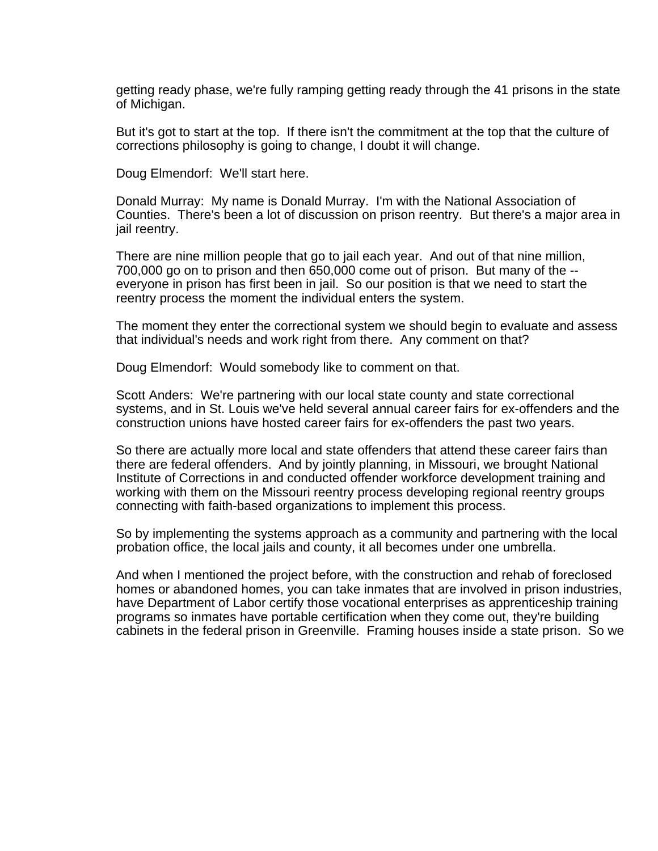getting ready phase, we're fully ramping getting ready through the 41 prisons in the state of Michigan.

But it's got to start at the top. If there isn't the commitment at the top that the culture of corrections philosophy is going to change, I doubt it will change.

Doug Elmendorf: We'll start here.

Donald Murray: My name is Donald Murray. I'm with the National Association of Counties. There's been a lot of discussion on prison reentry. But there's a major area in jail reentry.

There are nine million people that go to jail each year. And out of that nine million, 700,000 go on to prison and then 650,000 come out of prison. But many of the - everyone in prison has first been in jail. So our position is that we need to start the reentry process the moment the individual enters the system.

The moment they enter the correctional system we should begin to evaluate and assess that individual's needs and work right from there. Any comment on that?

Doug Elmendorf: Would somebody like to comment on that.

Scott Anders: We're partnering with our local state county and state correctional systems, and in St. Louis we've held several annual career fairs for ex-offenders and the construction unions have hosted career fairs for ex-offenders the past two years.

So there are actually more local and state offenders that attend these career fairs than there are federal offenders. And by jointly planning, in Missouri, we brought National Institute of Corrections in and conducted offender workforce development training and working with them on the Missouri reentry process developing regional reentry groups connecting with faith-based organizations to implement this process.

So by implementing the systems approach as a community and partnering with the local probation office, the local jails and county, it all becomes under one umbrella.

And when I mentioned the project before, with the construction and rehab of foreclosed homes or abandoned homes, you can take inmates that are involved in prison industries, have Department of Labor certify those vocational enterprises as apprenticeship training programs so inmates have portable certification when they come out, they're building cabinets in the federal prison in Greenville. Framing houses inside a state prison. So we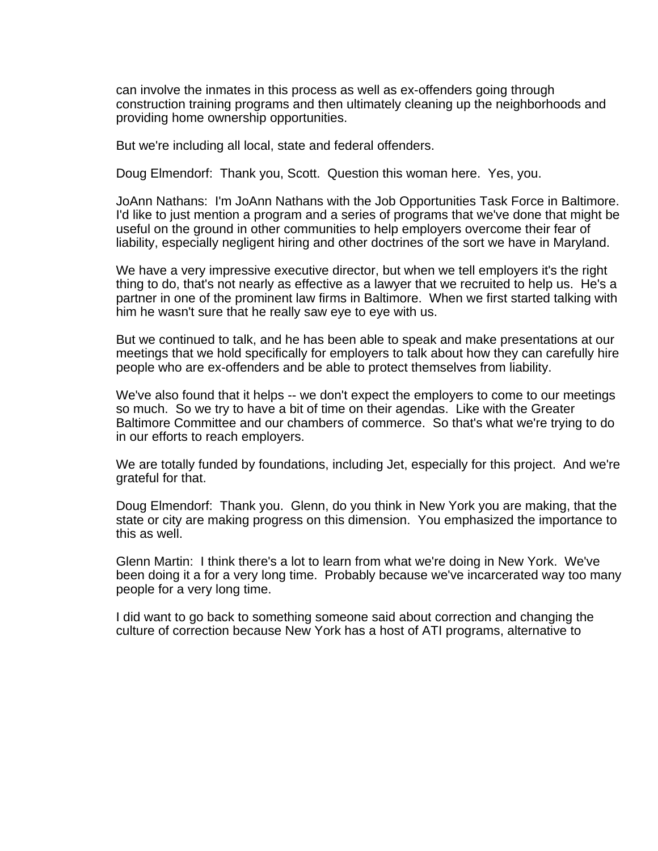can involve the inmates in this process as well as ex-offenders going through construction training programs and then ultimately cleaning up the neighborhoods and providing home ownership opportunities.

But we're including all local, state and federal offenders.

Doug Elmendorf: Thank you, Scott. Question this woman here. Yes, you.

JoAnn Nathans: I'm JoAnn Nathans with the Job Opportunities Task Force in Baltimore. I'd like to just mention a program and a series of programs that we've done that might be useful on the ground in other communities to help employers overcome their fear of liability, especially negligent hiring and other doctrines of the sort we have in Maryland.

We have a very impressive executive director, but when we tell employers it's the right thing to do, that's not nearly as effective as a lawyer that we recruited to help us. He's a partner in one of the prominent law firms in Baltimore. When we first started talking with him he wasn't sure that he really saw eye to eye with us.

But we continued to talk, and he has been able to speak and make presentations at our meetings that we hold specifically for employers to talk about how they can carefully hire people who are ex-offenders and be able to protect themselves from liability.

We've also found that it helps -- we don't expect the employers to come to our meetings so much. So we try to have a bit of time on their agendas. Like with the Greater Baltimore Committee and our chambers of commerce. So that's what we're trying to do in our efforts to reach employers.

We are totally funded by foundations, including Jet, especially for this project. And we're grateful for that.

Doug Elmendorf: Thank you. Glenn, do you think in New York you are making, that the state or city are making progress on this dimension. You emphasized the importance to this as well.

Glenn Martin: I think there's a lot to learn from what we're doing in New York. We've been doing it a for a very long time. Probably because we've incarcerated way too many people for a very long time.

I did want to go back to something someone said about correction and changing the culture of correction because New York has a host of ATI programs, alternative to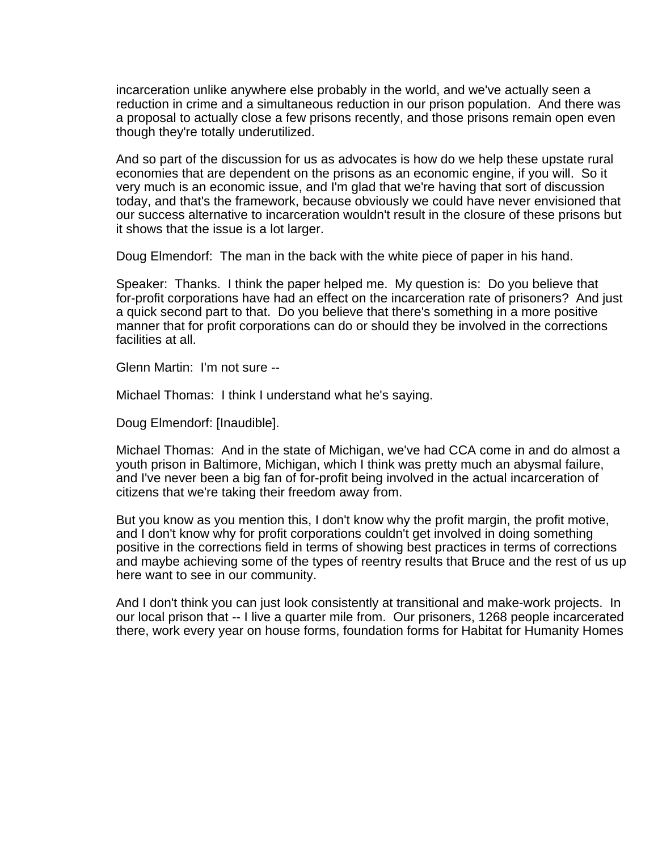incarceration unlike anywhere else probably in the world, and we've actually seen a reduction in crime and a simultaneous reduction in our prison population. And there was a proposal to actually close a few prisons recently, and those prisons remain open even though they're totally underutilized.

And so part of the discussion for us as advocates is how do we help these upstate rural economies that are dependent on the prisons as an economic engine, if you will. So it very much is an economic issue, and I'm glad that we're having that sort of discussion today, and that's the framework, because obviously we could have never envisioned that our success alternative to incarceration wouldn't result in the closure of these prisons but it shows that the issue is a lot larger.

Doug Elmendorf: The man in the back with the white piece of paper in his hand.

Speaker: Thanks. I think the paper helped me. My question is: Do you believe that for-profit corporations have had an effect on the incarceration rate of prisoners? And just a quick second part to that. Do you believe that there's something in a more positive manner that for profit corporations can do or should they be involved in the corrections facilities at all.

Glenn Martin: I'm not sure --

Michael Thomas: I think I understand what he's saying.

Doug Elmendorf: [Inaudible].

Michael Thomas: And in the state of Michigan, we've had CCA come in and do almost a youth prison in Baltimore, Michigan, which I think was pretty much an abysmal failure, and I've never been a big fan of for-profit being involved in the actual incarceration of citizens that we're taking their freedom away from.

But you know as you mention this, I don't know why the profit margin, the profit motive, and I don't know why for profit corporations couldn't get involved in doing something positive in the corrections field in terms of showing best practices in terms of corrections and maybe achieving some of the types of reentry results that Bruce and the rest of us up here want to see in our community.

And I don't think you can just look consistently at transitional and make-work projects. In our local prison that -- I live a quarter mile from. Our prisoners, 1268 people incarcerated there, work every year on house forms, foundation forms for Habitat for Humanity Homes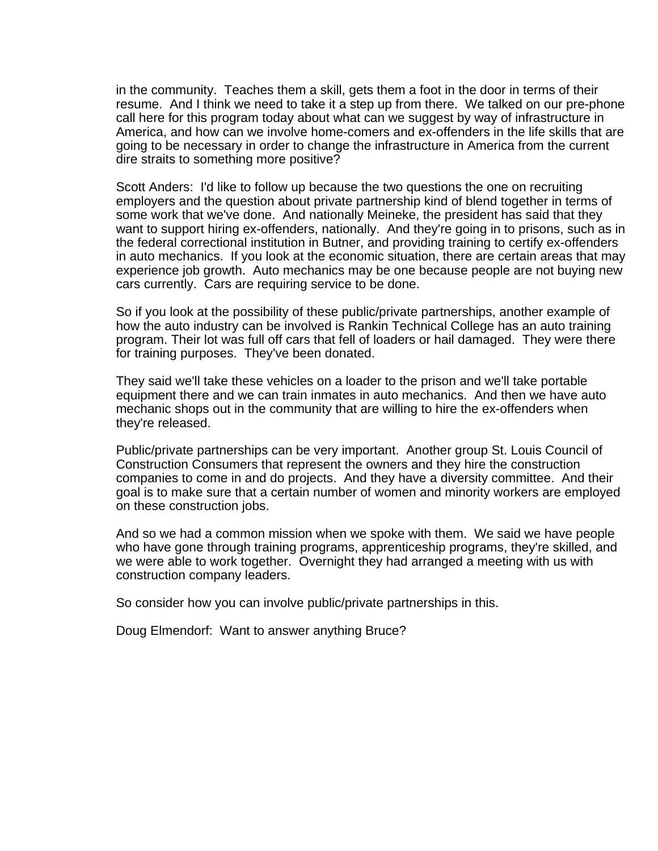in the community. Teaches them a skill, gets them a foot in the door in terms of their resume. And I think we need to take it a step up from there. We talked on our pre-phone call here for this program today about what can we suggest by way of infrastructure in America, and how can we involve home-comers and ex-offenders in the life skills that are going to be necessary in order to change the infrastructure in America from the current dire straits to something more positive?

Scott Anders: I'd like to follow up because the two questions the one on recruiting employers and the question about private partnership kind of blend together in terms of some work that we've done. And nationally Meineke, the president has said that they want to support hiring ex-offenders, nationally. And they're going in to prisons, such as in the federal correctional institution in Butner, and providing training to certify ex-offenders in auto mechanics. If you look at the economic situation, there are certain areas that may experience job growth. Auto mechanics may be one because people are not buying new cars currently. Cars are requiring service to be done.

So if you look at the possibility of these public/private partnerships, another example of how the auto industry can be involved is Rankin Technical College has an auto training program. Their lot was full off cars that fell of loaders or hail damaged. They were there for training purposes. They've been donated.

They said we'll take these vehicles on a loader to the prison and we'll take portable equipment there and we can train inmates in auto mechanics. And then we have auto mechanic shops out in the community that are willing to hire the ex-offenders when they're released.

Public/private partnerships can be very important. Another group St. Louis Council of Construction Consumers that represent the owners and they hire the construction companies to come in and do projects. And they have a diversity committee. And their goal is to make sure that a certain number of women and minority workers are employed on these construction jobs.

And so we had a common mission when we spoke with them. We said we have people who have gone through training programs, apprenticeship programs, they're skilled, and we were able to work together. Overnight they had arranged a meeting with us with construction company leaders.

So consider how you can involve public/private partnerships in this.

Doug Elmendorf: Want to answer anything Bruce?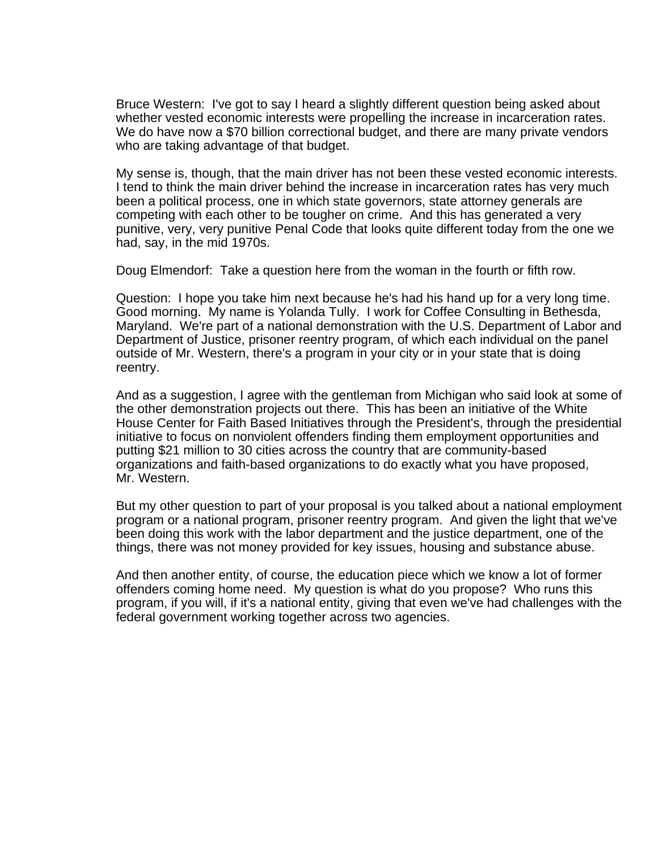Bruce Western: I've got to say I heard a slightly different question being asked about whether vested economic interests were propelling the increase in incarceration rates. We do have now a \$70 billion correctional budget, and there are many private vendors who are taking advantage of that budget.

My sense is, though, that the main driver has not been these vested economic interests. I tend to think the main driver behind the increase in incarceration rates has very much been a political process, one in which state governors, state attorney generals are competing with each other to be tougher on crime. And this has generated a very punitive, very, very punitive Penal Code that looks quite different today from the one we had, say, in the mid 1970s.

Doug Elmendorf: Take a question here from the woman in the fourth or fifth row.

Question: I hope you take him next because he's had his hand up for a very long time. Good morning. My name is Yolanda Tully. I work for Coffee Consulting in Bethesda, Maryland. We're part of a national demonstration with the U.S. Department of Labor and Department of Justice, prisoner reentry program, of which each individual on the panel outside of Mr. Western, there's a program in your city or in your state that is doing reentry.

And as a suggestion, I agree with the gentleman from Michigan who said look at some of the other demonstration projects out there. This has been an initiative of the White House Center for Faith Based Initiatives through the President's, through the presidential initiative to focus on nonviolent offenders finding them employment opportunities and putting \$21 million to 30 cities across the country that are community-based organizations and faith-based organizations to do exactly what you have proposed, Mr. Western.

But my other question to part of your proposal is you talked about a national employment program or a national program, prisoner reentry program. And given the light that we've been doing this work with the labor department and the justice department, one of the things, there was not money provided for key issues, housing and substance abuse.

And then another entity, of course, the education piece which we know a lot of former offenders coming home need. My question is what do you propose? Who runs this program, if you will, if it's a national entity, giving that even we've had challenges with the federal government working together across two agencies.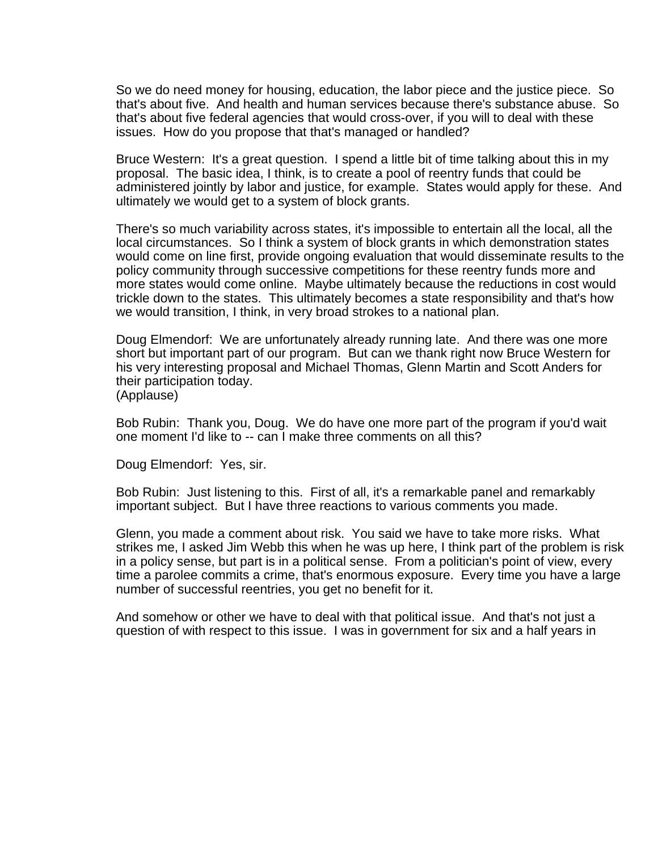So we do need money for housing, education, the labor piece and the justice piece. So that's about five. And health and human services because there's substance abuse. So that's about five federal agencies that would cross-over, if you will to deal with these issues. How do you propose that that's managed or handled?

Bruce Western: It's a great question. I spend a little bit of time talking about this in my proposal. The basic idea, I think, is to create a pool of reentry funds that could be administered jointly by labor and justice, for example. States would apply for these. And ultimately we would get to a system of block grants.

There's so much variability across states, it's impossible to entertain all the local, all the local circumstances. So I think a system of block grants in which demonstration states would come on line first, provide ongoing evaluation that would disseminate results to the policy community through successive competitions for these reentry funds more and more states would come online. Maybe ultimately because the reductions in cost would trickle down to the states. This ultimately becomes a state responsibility and that's how we would transition, I think, in very broad strokes to a national plan.

Doug Elmendorf: We are unfortunately already running late. And there was one more short but important part of our program. But can we thank right now Bruce Western for his very interesting proposal and Michael Thomas, Glenn Martin and Scott Anders for their participation today. (Applause)

Bob Rubin: Thank you, Doug. We do have one more part of the program if you'd wait one moment I'd like to -- can I make three comments on all this?

Doug Elmendorf: Yes, sir.

Bob Rubin: Just listening to this. First of all, it's a remarkable panel and remarkably important subject. But I have three reactions to various comments you made.

Glenn, you made a comment about risk. You said we have to take more risks. What strikes me, I asked Jim Webb this when he was up here, I think part of the problem is risk in a policy sense, but part is in a political sense. From a politician's point of view, every time a parolee commits a crime, that's enormous exposure. Every time you have a large number of successful reentries, you get no benefit for it.

And somehow or other we have to deal with that political issue. And that's not just a question of with respect to this issue. I was in government for six and a half years in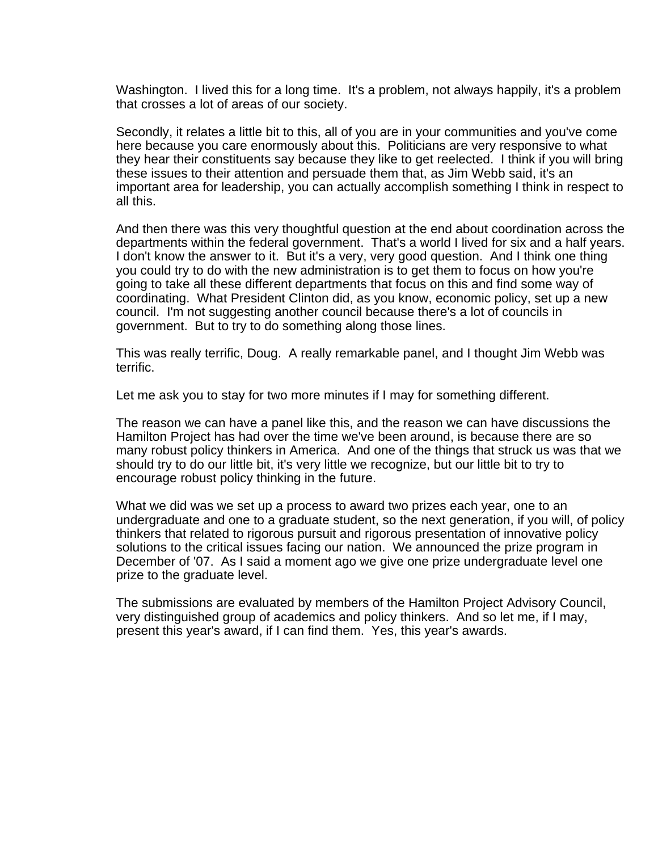Washington. I lived this for a long time. It's a problem, not always happily, it's a problem that crosses a lot of areas of our society.

Secondly, it relates a little bit to this, all of you are in your communities and you've come here because you care enormously about this. Politicians are very responsive to what they hear their constituents say because they like to get reelected. I think if you will bring these issues to their attention and persuade them that, as Jim Webb said, it's an important area for leadership, you can actually accomplish something I think in respect to all this.

And then there was this very thoughtful question at the end about coordination across the departments within the federal government. That's a world I lived for six and a half years. I don't know the answer to it. But it's a very, very good question. And I think one thing you could try to do with the new administration is to get them to focus on how you're going to take all these different departments that focus on this and find some way of coordinating. What President Clinton did, as you know, economic policy, set up a new council. I'm not suggesting another council because there's a lot of councils in government. But to try to do something along those lines.

This was really terrific, Doug. A really remarkable panel, and I thought Jim Webb was terrific.

Let me ask you to stay for two more minutes if I may for something different.

The reason we can have a panel like this, and the reason we can have discussions the Hamilton Project has had over the time we've been around, is because there are so many robust policy thinkers in America. And one of the things that struck us was that we should try to do our little bit, it's very little we recognize, but our little bit to try to encourage robust policy thinking in the future.

What we did was we set up a process to award two prizes each year, one to an undergraduate and one to a graduate student, so the next generation, if you will, of policy thinkers that related to rigorous pursuit and rigorous presentation of innovative policy solutions to the critical issues facing our nation. We announced the prize program in December of '07. As I said a moment ago we give one prize undergraduate level one prize to the graduate level.

The submissions are evaluated by members of the Hamilton Project Advisory Council, very distinguished group of academics and policy thinkers. And so let me, if I may, present this year's award, if I can find them. Yes, this year's awards.